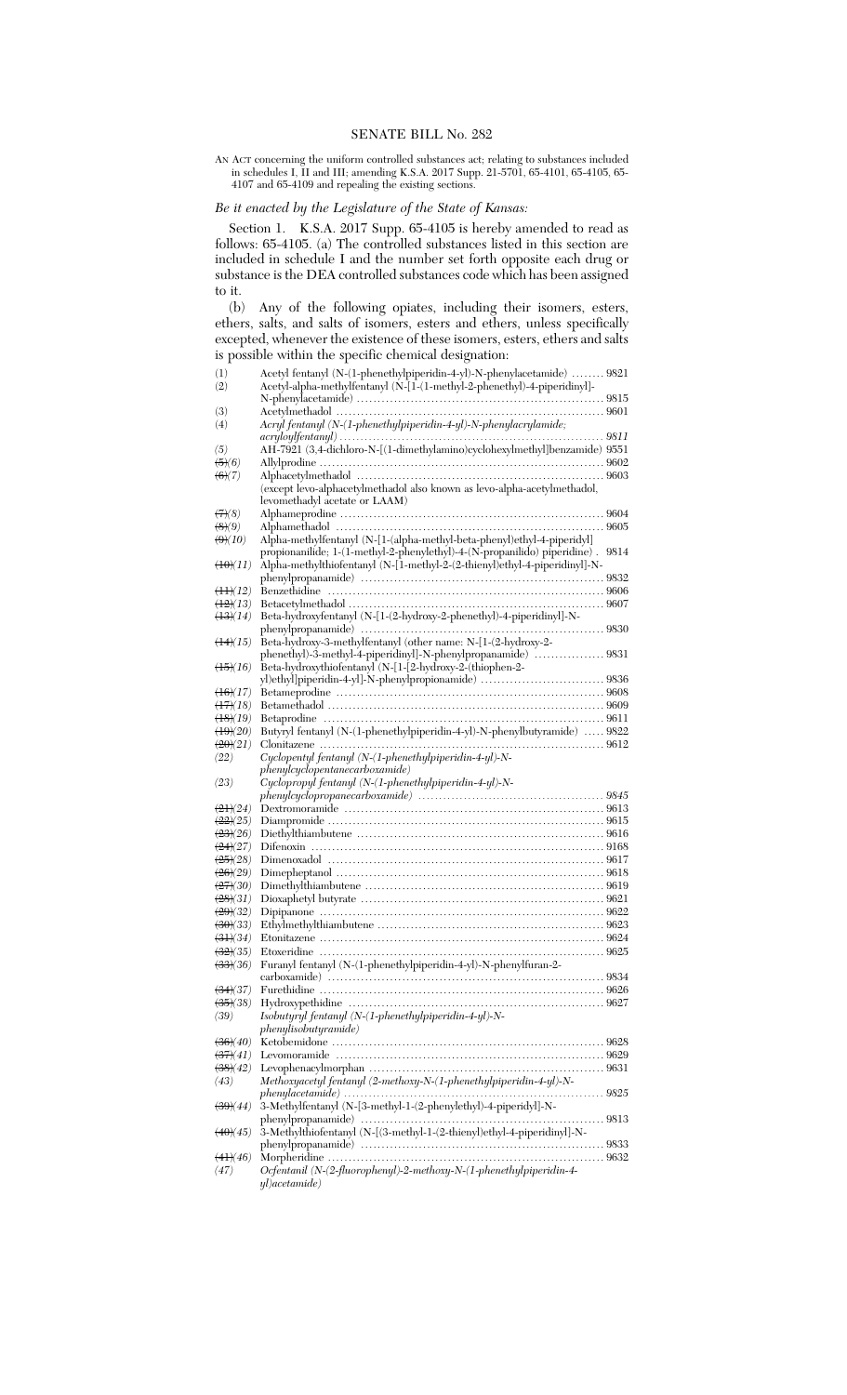AN ACT concerning the uniform controlled substances act; relating to substances included in schedules I, II and III; amending K.S.A. 2017 Supp. 21-5701, 65-4101, 65-4105, 65- 4107 and 65-4109 and repealing the existing sections.

## *Be it enacted by the Legislature of the State of Kansas:*

Section 1. K.S.A. 2017 Supp. 65-4105 is hereby amended to read as follows: 65-4105. (a) The controlled substances listed in this section are included in schedule I and the number set forth opposite each drug or substance is the DEA controlled substances code which has been assigned to it.<br> $(b)$ 

Any of the following opiates, including their isomers, esters, ethers, salts, and salts of isomers, esters and ethers, unless specifically excepted, whenever the existence of these isomers, esters, ethers and salts is possible within the specific chemical designation:

|                                    | Acetyl fentanyl (N-(1-phenethylpiperidin-4-yl)-N-phenylacetamide)  9821                      |      |
|------------------------------------|----------------------------------------------------------------------------------------------|------|
| (1)                                |                                                                                              |      |
| (2)                                | Acetyl-alpha-methylfentanyl (N-[1-(1-methyl-2-phenethyl)-4-piperidinyl]-                     |      |
|                                    |                                                                                              |      |
| (3)                                |                                                                                              |      |
| (4)                                | Acryl fentanyl (N-(1-phenethylpiperidin-4-yl)-N-phenylacrylamide;                            |      |
|                                    |                                                                                              |      |
| (5)                                | $\mathrm{AH}\text{-}7921$ (3,4-dichloro-N-[(1-dimethylamino)cyclohexylmethyl]benzamide) 9551 |      |
| $\left( 5\right) (6)$              |                                                                                              |      |
| $\left( 6\right) (7)$              |                                                                                              |      |
|                                    | (except levo-alphacetylmethadol also known as levo-alpha-acetylmethadol,                     |      |
|                                    |                                                                                              |      |
|                                    | levomethadyl acetate or LAAM)                                                                |      |
| (7)(8)                             |                                                                                              |      |
| $\left( 8)(9) \right)$             |                                                                                              |      |
| (9)(10)                            | Alpha-methylfentanyl (N-[1-(alpha-methyl-beta-phenyl)ethyl-4-piperidyl]                      |      |
|                                    | propionanilide; 1-(1-methyl-2-phenylethyl)-4-(N-propanilido) piperidine).                    | 9814 |
| $\left(10\right)(11)$              | Alpha-methylthiofentanyl (N-[1-methyl-2-(2-thienyl)ethyl-4-piperidinyl]-N-                   |      |
|                                    |                                                                                              |      |
| $\left(\frac{1}{2}\right)$         |                                                                                              |      |
| $\frac{12}{2}(13)$                 |                                                                                              |      |
| $\left(\frac{13}{14}\right)$       | Beta-hydroxyfentanyl (N-[1-(2-hydroxy-2-phenethyl)-4-piperidinyl]-N-                         |      |
|                                    |                                                                                              |      |
|                                    |                                                                                              |      |
| $\left(14\right)(15)$              | Beta-hydroxy-3-methylfentanyl (other name: N-[1-(2-hydroxy-2-                                |      |
|                                    | phenethyl)-3-methyl-4-piperidinyl]-N-phenylpropanamide)  9831                                |      |
| $\left(15\right)(16)$              | Beta-hydroxythiofentanyl (N-[1-[2-hydroxy-2-(thiophen-2-                                     |      |
|                                    | yl)ethyl]piperidin-4-yl]-N-phenylpropionamide)  9836                                         |      |
| $\left(16\right)(17)$              |                                                                                              |      |
| $\left(17\right)(18)$              |                                                                                              |      |
| $\left(18\right)(19)$              |                                                                                              |      |
| $\left(19\right)\left(20\right)$   | Butyryl fentanyl (N-(1-phenethylpiperidin-4-yl)-N-phenylbutyramide)  9822                    |      |
| (20)(21)                           |                                                                                              |      |
|                                    |                                                                                              |      |
| (22)                               | Cyclopentyl fentanyl (N-(1-phenethylpiperidin-4-yl)-N-<br>phenylcyclopentanecarboxamide)     |      |
|                                    |                                                                                              |      |
|                                    |                                                                                              |      |
| (23)                               | Cyclopropyl fentanyl (N-(1-phenethylpiperidin-4-yl)-N-                                       |      |
|                                    |                                                                                              |      |
| $\left(21/24\right)$               |                                                                                              |      |
| $\frac{(22)}{(25)}$                |                                                                                              |      |
| $\left( 23(26) \right)$            |                                                                                              |      |
| $\left(24\right)(27)$              |                                                                                              |      |
|                                    |                                                                                              |      |
| $\left(25/28\right)$               |                                                                                              |      |
| $\left(26/29\right)$               |                                                                                              |      |
| $\left(27/30\right)$               |                                                                                              |      |
| $\left( 28 \right) (31)$           |                                                                                              |      |
| (29)(32)                           |                                                                                              |      |
| (30)(33)                           |                                                                                              |      |
| $\left(31/34\right)$               |                                                                                              |      |
| $\left(32\right)$ (35)             |                                                                                              |      |
| $\left(33\right)\left(36\right)$   |                                                                                              |      |
|                                    | Furanyl fentanyl (N-(1-phenethylpiperidin-4-yl)-N-phenylfuran-2-                             |      |
|                                    |                                                                                              |      |
| $\left(34\right)\left(37\right)$   |                                                                                              |      |
| $\left(35/38\right)$               |                                                                                              |      |
| (39)                               | Isobutyryl fentanyl (N- $(1$ -phenethylpiperidin-4-yl)-N-                                    |      |
|                                    | phenylisobutyramide)                                                                         |      |
| $\left(36\right)\left(40\right)$   |                                                                                              |      |
| $\left(37\right)\left(41\right)$   |                                                                                              |      |
| $\left(38\right)(42)$              |                                                                                              |      |
| (43)                               |                                                                                              |      |
|                                    | Methoxyacetyl fentanyl (2-methoxy-N-(1-phenethylpiperidin-4-yl)-N-                           |      |
|                                    |                                                                                              |      |
| $\left(39\right)\!\left(44\right)$ | 3-Methylfentanyl (N-[3-methyl-1-(2-phenylethyl)-4-piperidyl]-N-                              |      |
|                                    |                                                                                              |      |
| $\left(40\right)\left(45\right)$   | 3-Methylthiofentanyl (N-[(3-methyl-1-(2-thienyl)ethyl-4-piperidinyl]-N-                      |      |
|                                    |                                                                                              |      |
| $\left(41/46\right)$               |                                                                                              |      |
| (47)                               | Ocfentanil (N-(2-fluorophenyl)-2-methoxy-N-(1-phenethylpiperidin-4-<br>yl)acetamide)         |      |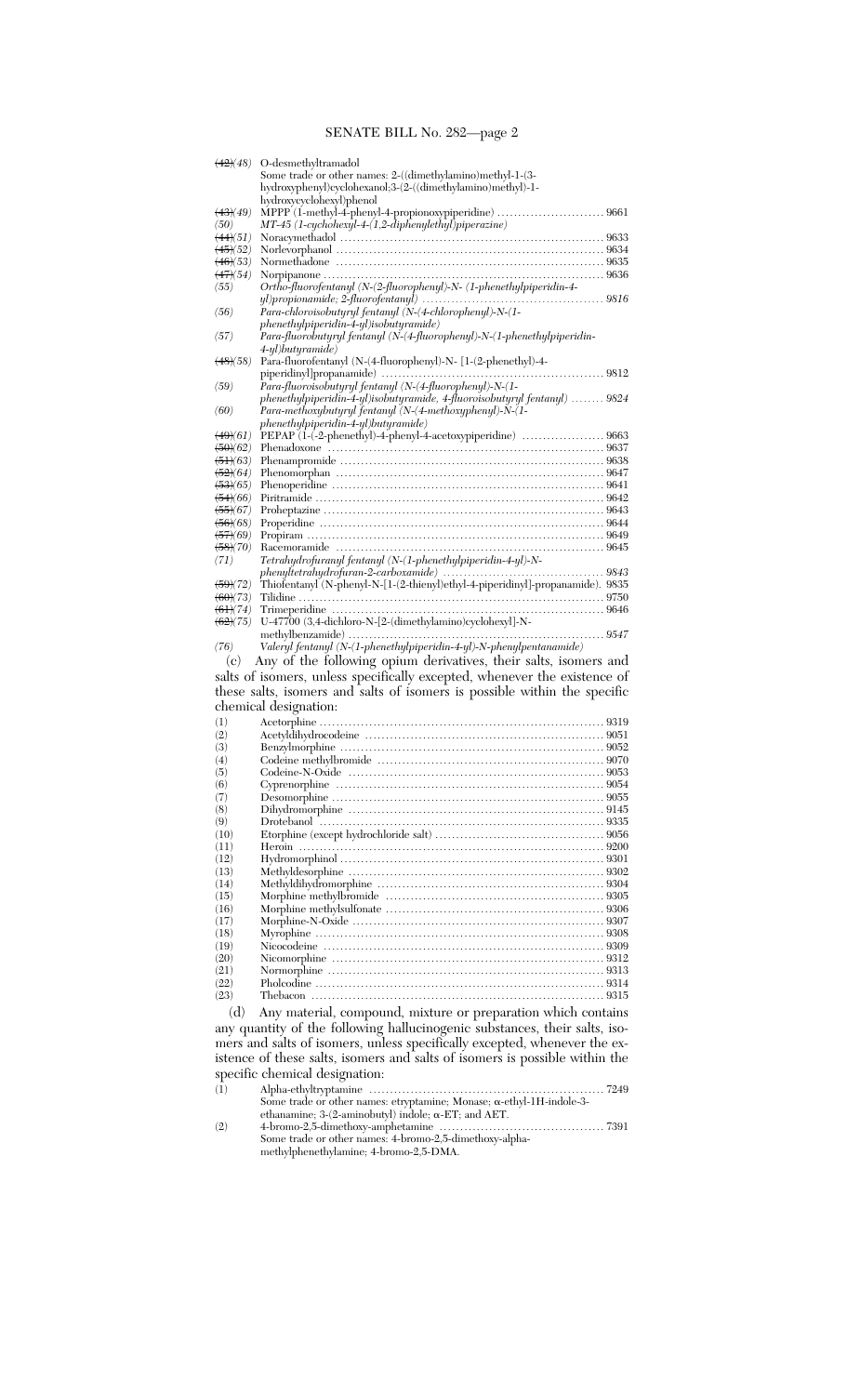| $\left(42\right)\!\left(48\right)$                          | O-desmethyltramadol                                                            |
|-------------------------------------------------------------|--------------------------------------------------------------------------------|
|                                                             | Some trade or other names: 2-((dimethylamino)methyl-1-(3-                      |
|                                                             | hydroxyphenyl)cyclohexanol;3-(2-((dimethylamino)methyl)-1-                     |
|                                                             | hydroxycyclohexyl)phenol                                                       |
| $\left(43\right)\!\left(49\right)$                          | MPPP (1-methyl-4-phenyl-4-propionoxypiperidine)  9661                          |
| (50)                                                        | MT-45 (1-cychohexyl-4-(1,2-diphenylethyl)piperazine)                           |
| $\left(44(51)\right)$<br>$\left(45\right)\!\left(52\right)$ |                                                                                |
| $\left(46\right)\!\left(53\right)$                          |                                                                                |
| $\left(47\right)\!\left(54\right)$                          |                                                                                |
| (55)                                                        | Ortho-fluorofentanyl (N-(2-fluorophenyl)-N- (1-phenethylpiperidin-4-           |
|                                                             |                                                                                |
| (56)                                                        | Para-chloroisobutyryl fentanyl (N-(4-chlorophenyl)-N-(1-                       |
|                                                             | $phenethyl piperidin-4-yl)$ isobutyramide)                                     |
| (57)                                                        | Para-fluorobutyryl fentanyl (N-(4-fluorophenyl)-N-(1-phenethylpiperidin-       |
|                                                             | $4-yl$ ) $butgamma$                                                            |
| $\left(48\right)\!\left(58\right)$                          | Para-fluorofentanyl (N-(4-fluorophenyl)-N- [1-(2-phenethyl)-4-                 |
|                                                             | piperidinyl]propanamide)<br>9812                                               |
| (59)                                                        |                                                                                |
|                                                             | phenethylpiperidin-4-yl)isobutyramide, 4-fluoroisobutyryl fentanyl)  9824      |
| (60)                                                        | Para-methoxybutyryl fentanyl (N-(4-methoxyphenyl)-N-(1-                        |
|                                                             | phenethylpiperidin-4-yl)butyramide)                                            |
| $\left(49\right)(61)$                                       | PEPAP (1-(-2-phenethyl)-4-phenyl-4-acetoxypiperidine)  9663                    |
| $\left(50\right)\!\left(62\right)$                          |                                                                                |
| $\left(51\right)\!\left(63\right)$                          |                                                                                |
| $\left( 52(64) \right)$<br>(53)(65)                         |                                                                                |
| $\left(54\right)\!\left(66\right)$                          |                                                                                |
| $\left(55(67)\right)$                                       |                                                                                |
| $\left( 56(68) \right)$                                     |                                                                                |
| $\left(57\right)\!\left(69\right)$                          |                                                                                |
| $\left(58\right)\!\!\left(70\right)$                        |                                                                                |
| (71)                                                        | Tetrahydrofuranyl fentanyl (N-(1-phenethylpiperidin-4-yl)-N-                   |
|                                                             |                                                                                |
| $\left(59\right)(72)$                                       | Thiofentanyl (N-phenyl-N-[1-(2-thienyl)ethyl-4-piperidinyl]-propanamide). 9835 |
| $\left( 60 \right) (73)$                                    |                                                                                |
| $(61)(74)$                                                  |                                                                                |
| $\left(62\right)(75)$                                       | $\,$ U-47700 $\,$ (3,4-dichloro-N-[2-(dimethylamino)cyclohexyl]-N- $\,$        |
|                                                             |                                                                                |
| (76)                                                        | Valeryl fentanyl (N-(1-phenethylpiperidin-4-yl)-N-phenylpentanamide)           |
|                                                             |                                                                                |
| (c)                                                         | Any of the following opium derivatives, their salts, isomers and               |
|                                                             |                                                                                |
|                                                             | salts of isomers, unless specifically excepted, whenever the existence of      |
|                                                             | these salts, isomers and salts of isomers is possible within the specific      |
|                                                             | chemical designation:                                                          |
| (1)                                                         |                                                                                |
| (2)                                                         |                                                                                |
| (3)                                                         |                                                                                |
| (4)                                                         |                                                                                |
| (5)                                                         |                                                                                |
| (6)                                                         |                                                                                |
| (7)                                                         |                                                                                |
| (8)                                                         |                                                                                |
| (9)<br>(10)                                                 |                                                                                |
| (11)                                                        |                                                                                |
| (12)                                                        |                                                                                |
| (13)                                                        |                                                                                |
| (14)                                                        |                                                                                |
| (15)                                                        |                                                                                |
| (16)                                                        |                                                                                |
| (17)                                                        |                                                                                |
| (18)                                                        |                                                                                |
| (19)                                                        |                                                                                |
| (20)                                                        |                                                                                |
| (21)                                                        |                                                                                |
| (22)                                                        |                                                                                |
| (23)<br>(d)                                                 | Any material, compound, mixture or preparation which contains                  |

any quantity of the following hallucinogenic substances, their salts, isomers and salts of isomers, unless specifically excepted, whenever the existence of these salts, isomers and salts of isomers is possible within the specific chemical designation:

(1) Alpha-ethyltryptamine ......................................................... 7249 Some trade or other names: etryptamine; Monase; a-ethyl-1H-indole-3 ethanamine; 3-(2-aminobutyl) indole; a-ET; and AET.

(2) 4-bromo-2,5-dimethoxy-amphetamine ........................................ 7391 Some trade or other names: 4-bromo-2,5-dimethoxy-alphamethylphenethylamine; 4-bromo-2,5-DMA.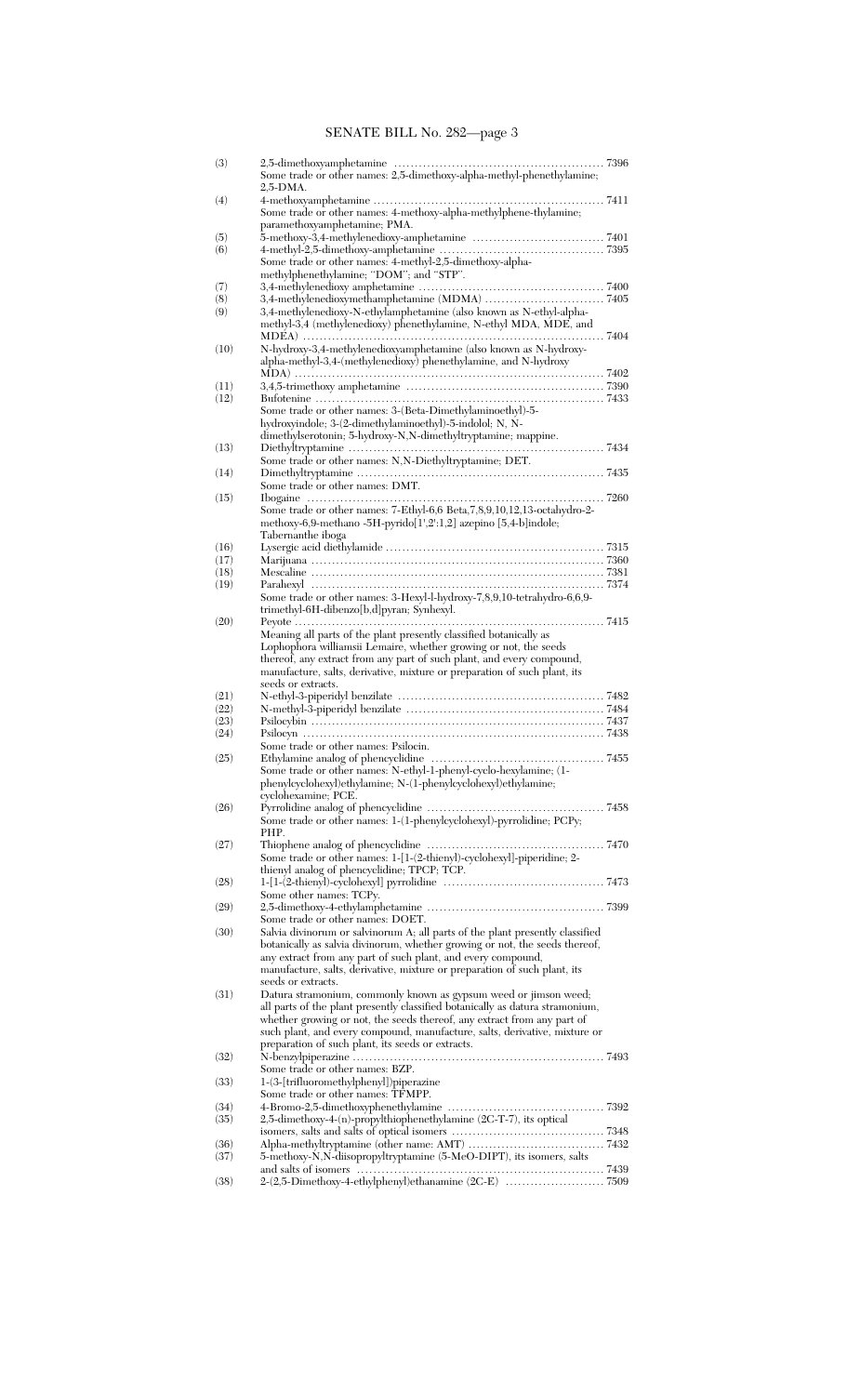| (3)  |                                                                               |  |
|------|-------------------------------------------------------------------------------|--|
|      | Some trade or other names: 2,5-dimethoxy-alpha-methyl-phenethylamine;         |  |
|      | 2,5-DMA.                                                                      |  |
| (4)  |                                                                               |  |
|      | Some trade or other names: 4-methoxy-alpha-methylphene-thylamine;             |  |
|      | paramethoxyamphetamine; PMA.                                                  |  |
| (5)  |                                                                               |  |
| (6)  |                                                                               |  |
|      | Some trade or other names: 4-methyl-2,5-dimethoxy-alpha-                      |  |
|      | methylphenethylamine; "DOM"; and "STP".                                       |  |
| (7)  |                                                                               |  |
| (8)  |                                                                               |  |
| (9)  | 3,4-methylenedioxy-N-ethylamphetamine (also known as N-ethyl-alpha-           |  |
|      | methyl-3,4 (methylenedioxy) phenethylamine, N-ethyl MDA, MDE, and             |  |
|      |                                                                               |  |
|      | N-hydroxy-3,4-methylenedioxyamphetamine (also known as N-hydroxy-             |  |
| (10) | alpha-methyl-3,4-(methylenedioxy) phenethylamine, and N-hydroxy               |  |
|      |                                                                               |  |
|      |                                                                               |  |
| (11) |                                                                               |  |
| (12) |                                                                               |  |
|      | Some trade or other names: 3-(Beta-Dimethylaminoethyl)-5-                     |  |
|      | hydroxyindole; 3-(2-dimethylaminoethyl)-5-indolol; N, N-                      |  |
|      | dimethylserotonin; 5-hydroxy-N,N-dimethyltryptamine; mappine.                 |  |
| (13) |                                                                               |  |
|      | Some trade or other names: N,N-Diethyltryptamine; DET.                        |  |
| (14) |                                                                               |  |
|      | Some trade or other names: DMT.                                               |  |
| (15) |                                                                               |  |
|      | Some trade or other names: 7-Ethyl-6,6 Beta, 7, 8, 9, 10, 12, 13-octahydro-2- |  |
|      | methoxy-6,9-methano -5H-pyrido[1',2':1,2] azepino [5,4-b]indole;              |  |
|      | Tabernanthe iboga                                                             |  |
| (16) |                                                                               |  |
| (17) |                                                                               |  |
| (18) |                                                                               |  |
| (19) |                                                                               |  |
|      | Some trade or other names: 3-Hexyl-l-hydroxy-7,8,9,10-tetrahydro-6,6,9-       |  |
|      | trimethyl-6H-dibenzo[b,d]pyran; Synhexyl.                                     |  |
| (20) |                                                                               |  |
|      | Meaning all parts of the plant presently classified botanically as            |  |
|      | Lophophora williamsii Lemaire, whether growing or not, the seeds              |  |
|      | thereof, any extract from any part of such plant, and every compound,         |  |
|      | manufacture, salts, derivative, mixture or preparation of such plant, its     |  |
|      | seeds or extracts.                                                            |  |
| (21) |                                                                               |  |
| (22) |                                                                               |  |
| (23) |                                                                               |  |
| (24) |                                                                               |  |
|      | Some trade or other names: Psilocin.                                          |  |
| (25) |                                                                               |  |
|      | Some trade or other names: N-ethyl-1-phenyl-cyclo-hexylamine; (1-             |  |
|      | phenylcyclohexyl)ethylamine; N-(1-phenylcyclohexyl)ethylamine;                |  |
|      |                                                                               |  |
|      | cyclohexamine; PCE.                                                           |  |
| (26) |                                                                               |  |
|      | Some trade or other names: 1-(1-phenylcyclohexyl)-pyrrolidine; PCPy;          |  |
|      | PHP.                                                                          |  |
| (27) |                                                                               |  |
|      | Some trade or other names: 1-[1-(2-thienyl)-cyclohexyl]-piperidine; 2-        |  |
|      | thienyl analog of phencyclidine; TPCP; TCP.                                   |  |
| (28) |                                                                               |  |
|      | Some other names: TCPy.                                                       |  |
| (29) |                                                                               |  |
|      | Some trade or other names: DOET.                                              |  |
| (30) | Salvia divinorum or salvinorum A; all parts of the plant presently classified |  |
|      | botanically as salvia divinorum, whether growing or not, the seeds thereof,   |  |
|      | any extract from any part of such plant, and every compound,                  |  |
|      | manufacture, salts, derivative, mixture or preparation of such plant, its     |  |
|      | seeds or extracts.                                                            |  |
| (31) | Datura stramonium, commonly known as gypsum weed or jimson weed;              |  |
|      | all parts of the plant presently classified botanically as datura stramonium, |  |
|      | whether growing or not, the seeds thereof, any extract from any part of       |  |
|      | such plant, and every compound, manufacture, salts, derivative, mixture or    |  |
|      | preparation of such plant, its seeds or extracts.                             |  |
| (32) |                                                                               |  |
|      | Some trade or other names: BZP.                                               |  |
| (33) | 1-(3-[trifluoromethylphenyl]) piperazine                                      |  |
|      | Some trade or other names: TFMPP.                                             |  |
| (34) |                                                                               |  |
| (35) | $2,\!5\!$ -dimethoxy-4-(n)-propylthiophenethylamine (2C-T-7), its optical     |  |
|      |                                                                               |  |
| (36) |                                                                               |  |
| (37) | 5-methoxy-N,N-diisopropyltryptamine (5-MeO-DIPT), its isomers, salts          |  |
|      |                                                                               |  |
| (38) |                                                                               |  |
|      |                                                                               |  |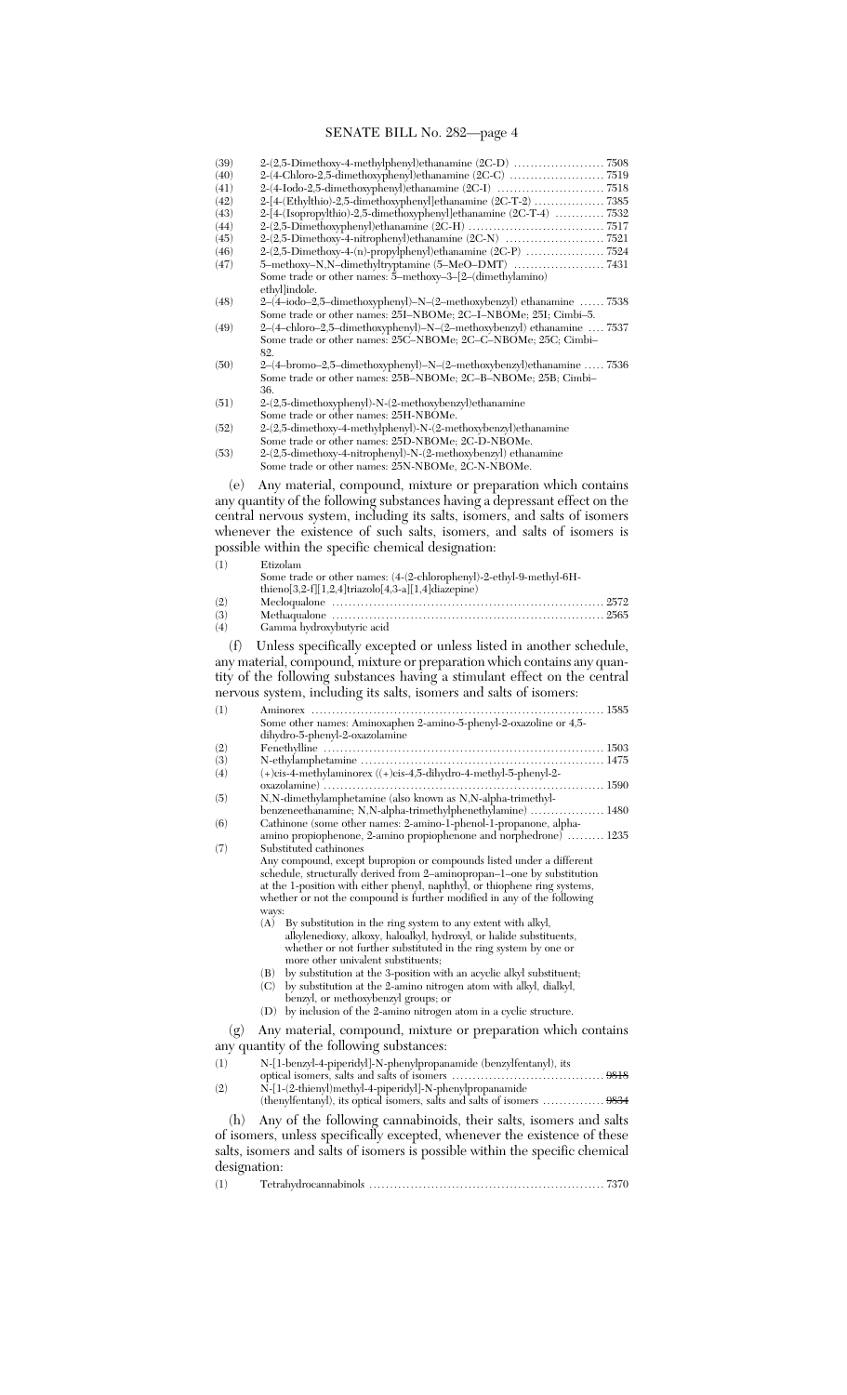| (39)         |                                                                                                                                                       |
|--------------|-------------------------------------------------------------------------------------------------------------------------------------------------------|
| (40)         |                                                                                                                                                       |
| (41)<br>(42) |                                                                                                                                                       |
| (43)         | 2-[4-(Isopropylthio)-2,5-dimethoxyphenyl]ethanamine (2C-T-4) 7532                                                                                     |
| (44)         |                                                                                                                                                       |
| (45)         |                                                                                                                                                       |
| (46)<br>(47) | 2-(2,5-Dimethoxy-4-(n)-propylphenyl)ethanamine (2C-P) 7524                                                                                            |
|              | Some trade or other names: $5$ –methoxy– $3$ – $[2-(\text{dimethylamino})$                                                                            |
|              | ethyl lindole.                                                                                                                                        |
| (48)         | 2-(4-iodo-2,5-dimethoxyphenyl)-N-(2-methoxybenzyl) ethanamine  7538                                                                                   |
| (49)         | Some trade or other names: 25I-NBOMe; 2C-I-NBOMe; 25I; Cimbi-5.<br>2-(4-chloro-2,5-dimethoxyphenyl)-N-(2-methoxybenzyl) ethanamine  7537              |
|              | Some trade or other names: 25C-NBOMe; 2C-C-NBOMe; 25C; Cimbi-                                                                                         |
|              | 82.                                                                                                                                                   |
| (50)         | 2–(4–bromo–2,5–dimethoxyphenyl)–N–(2–methoxybenzyl)ethanamine  7536                                                                                   |
|              | Some trade or other names: 25B-NBOMe; 2C-B-NBOMe; 25B; Cimbi-<br>36.                                                                                  |
| (51)         | 2-(2,5-dimethoxyphenyl)-N-(2-methoxybenzyl)ethanamine                                                                                                 |
|              | Some trade or other names: 25H-NBOMe.                                                                                                                 |
| (52)         | 2-(2,5-dimethoxy-4-methylphenyl)-N-(2-methoxybenzyl)ethanamine                                                                                        |
| (53)         | Some trade or other names: 25D-NBOMe; 2C-D-NBOMe.<br>2-(2,5-dimethoxy-4-nitrophenyl)-N-(2-methoxybenzyl) ethanamine                                   |
|              | Some trade or other names: 25N-NBOMe, 2C-N-NBOMe.                                                                                                     |
|              |                                                                                                                                                       |
| (e)          | Any material, compound, mixture or preparation which contains                                                                                         |
|              | any quantity of the following substances having a depressant effect on the                                                                            |
|              | central nervous system, including its salts, isomers, and salts of isomers<br>whenever the existence of such salts, isomers, and salts of isomers is  |
|              | possible within the specific chemical designation:                                                                                                    |
|              |                                                                                                                                                       |
| (1)          | Etizolam<br>Some trade or other names: (4-(2-chlorophenyl)-2-ethyl-9-methyl-6H-                                                                       |
|              | thieno[3,2-f][1,2,4]triazolo[4,3-a][1,4]diazepine)                                                                                                    |
| (2)          |                                                                                                                                                       |
| (3)          |                                                                                                                                                       |
| (4)          | Gamma hydroxybutyric acid                                                                                                                             |
|              |                                                                                                                                                       |
| (f)          | Unless specifically excepted or unless listed in another schedule,                                                                                    |
|              | any material, compound, mixture or preparation which contains any quan-                                                                               |
|              | tity of the following substances having a stimulant effect on the central                                                                             |
|              | nervous system, including its salts, isomers and salts of isomers:                                                                                    |
| (1)          | Aminorex<br>. 1585                                                                                                                                    |
|              | Some other names: Aminoxaphen 2-amino-5-phenyl-2-oxazoline or 4,5-                                                                                    |
|              | dihydro-5-phenyl-2-oxazolamine                                                                                                                        |
| (2)<br>(3)   |                                                                                                                                                       |
| (4)          | $(+)$ cis-4-methylaminorex ( $(+)$ cis-4,5-dihydro-4-methyl-5-phenyl-2-                                                                               |
|              | . 1590                                                                                                                                                |
| (5)          | N, N-dimethylamphetamine (also known as N, N-alpha-trimethyl-                                                                                         |
| (6)          | benzeneethanamine; N,N-alpha-trimethylphenethylamine)  1480<br>Cathinone (some other names: 2-amino-1-phenol-1-propanone, alpha-                      |
|              | amino propiophenone, 2-amino propiophenone and norphedrone)  1235                                                                                     |
| (7)          | Substituted cathinones                                                                                                                                |
|              | Any compound, except bupropion or compounds listed under a different                                                                                  |
|              | schedule, structurally derived from 2-aminopropan-1-one by substitution<br>at the 1-position with either phenyl, naphthyl, or thiophene ring systems, |
|              | whether or not the compound is further modified in any of the following                                                                               |
|              | ways:                                                                                                                                                 |
|              | By substitution in the ring system to any extent with alkyl,<br>(A)                                                                                   |
|              | alkylenedioxy, alkoxy, haloalkyl, hydroxyl, or halide substituents,<br>whether or not further substituted in the ring system by one or                |
|              | more other univalent substituents;                                                                                                                    |
|              | by substitution at the 3-position with an acyclic alkyl substituent;<br>(B)                                                                           |
|              | (C)<br>by substitution at the 2-amino nitrogen atom with alkyl, dialkyl,                                                                              |
|              | benzyl, or methoxybenzyl groups; or<br>by inclusion of the 2-amino nitrogen atom in a cyclic structure.<br>(D)                                        |
|              |                                                                                                                                                       |
| (g)          | Any material, compound, mixture or preparation which contains                                                                                         |
|              | any quantity of the following substances:                                                                                                             |
| (1)          | N-[1-benzyl-4-piperidyl]-N-phenylpropanamide (benzylfentanyl), its                                                                                    |
| (2)          | N-[1-(2-thienyl)methyl-4-piperidyl]-N-phenylpropanamide                                                                                               |
|              |                                                                                                                                                       |
| (h)          | Any of the following cannabinoids, their salts, isomers and salts<br>of isomers, unless specifically excepted, whenever the existence of these        |

of isomers, unless specifically excepted, whenever the existence of these salts, isomers and salts of isomers is possible within the specific chemical designation:

| (1) |  |  |  |
|-----|--|--|--|
|-----|--|--|--|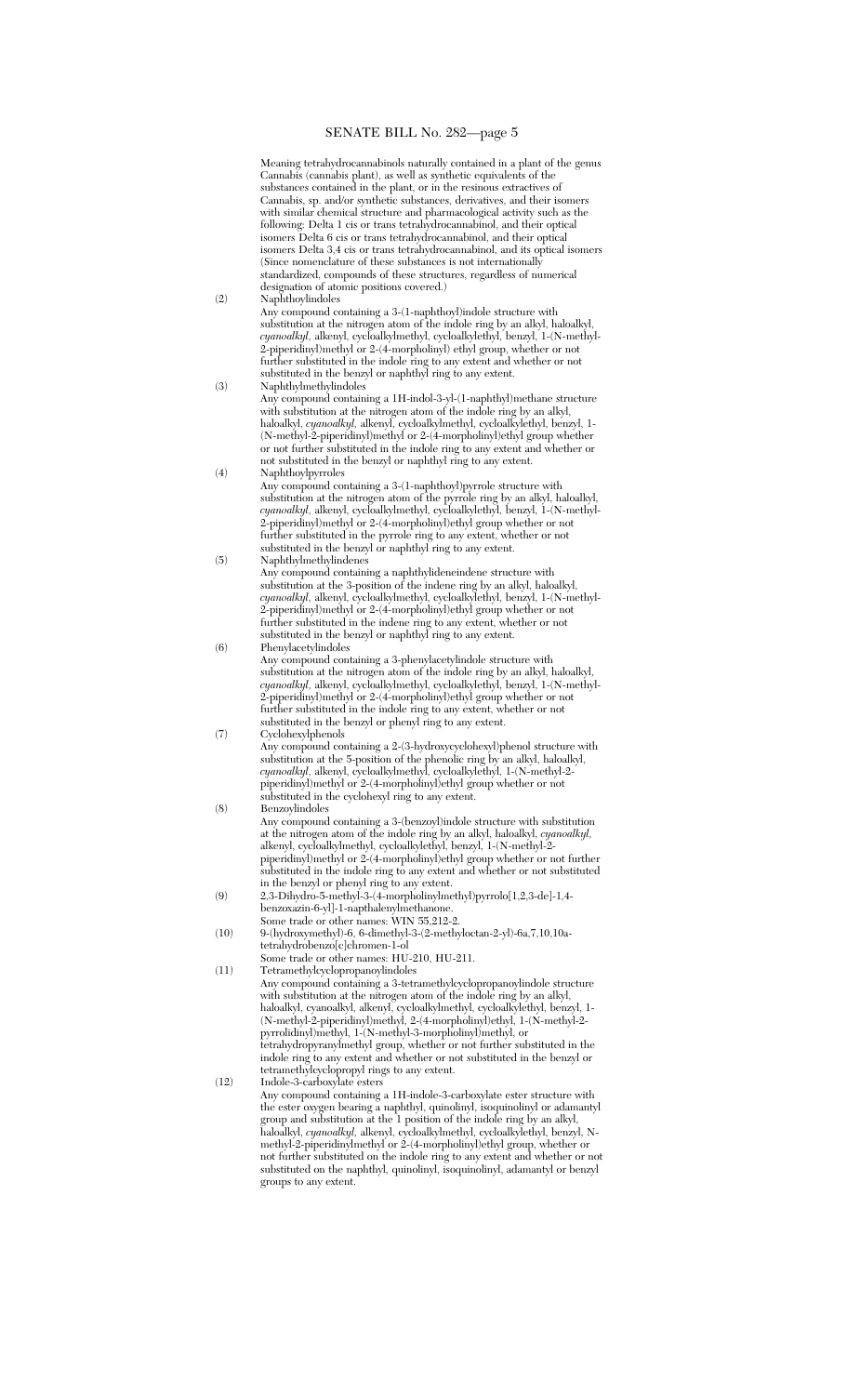Meaning tetrahydrocannabinols naturally contained in a plant of the genus Cannabis (cannabis plant), as well as synthetic equivalents of the substances contained in the plant, or in the resinous extractives of Cannabis, sp. and/or synthetic substances, derivatives, and their isomers with similar chemical structure and pharmacological activity such as the following: Delta 1 cis or trans tetrahydrocannabinol, and their optical isomers Delta 6 cis or trans tetrahydrocannabinol, and their optical isomers Delta 3,4 cis or trans tetrahydrocannabinol, and its optical isomers (Since nomenclature of these substances is not internationally standardized, compounds of these structures, regardless of numerical designation of atomic positions covered.)

(2) Naphthoylindoles

Any compound containing a 3-(1-naphthoyl)indole structure with substitution at the nitrogen atom of the indole ring by an alkyl, haloalkyl, *cyanoalkyl,* alkenyl, cycloalkylmethyl, cycloalkylethyl, benzyl, 1-(N-methyl-2-piperidinyl)methyl or 2-(4-morpholinyl) ethyl group, whether or not further substituted in the indole ring to any extent and whether or not substituted in the benzyl or naphthyl ring to any extent.

(3) Naphthylmethylindoles Any compound containing a 1H-indol-3-yl-(1-naphthyl)methane structure with substitution at the nitrogen atom of the indole ring by an alkyl, haloalkyl, *cyanoalkyl,* alkenyl, cycloalkylmethyl, cycloalkylethyl, benzyl, 1- (N-methyl-2-piperidinyl)methyl or 2-(4-morpholinyl)ethyl group whether or not further substituted in the indole ring to any extent and whether or not substituted in the benzyl or naphthyl ring to any extent.

(4) Naphthoylpyrroles Any compound containing a 3-(1-naphthoyl)pyrrole structure with substitution at the nitrogen atom of the pyrrole ring by an alkyl, haloalkyl, *cyanoalkyl,* alkenyl, cycloalkylmethyl, cycloalkylethyl, benzyl, 1-(N-methyl-2-piperidinyl)methyl or 2-(4-morpholinyl)ethyl group whether or not further substituted in the pyrrole ring to any extent, whether or not substituted in the benzyl or naphthyl ring to any extent.

- (5) Naphthylmethylindenes Any compound containing a naphthylideneindene structure with substitution at the 3-position of the indene ring by an alkyl, haloalkyl, *cyanoalkyl,* alkenyl, cycloalkylmethyl, cycloalkylethyl, benzyl, 1-(N-methyl-2-piperidinyl)methyl or 2-(4-morpholinyl)ethyl group whether or not further substituted in the indene ring to any extent, whether or not substituted in the benzyl or naphthyl ring to any extent.
- (6) Phenylacetylindoles Any compound containing a 3-phenylacetylindole structure with substitution at the nitrogen atom of the indole ring by an alkyl, haloalkyl, *cyanoalkyl,* alkenyl, cycloalkylmethyl, cycloalkylethyl, benzyl, 1-(N-methyl-2-piperidinyl)methyl or 2-(4-morpholinyl)ethyl group whether or not further substituted in the indole ring to any extent, whether or not substituted in the benzyl or phenyl ring to any extent. (7) Cyclohexylphenols

Any compound containing a 2-(3-hydroxycyclohexyl)phenol structure with substitution at the 5-position of the phenolic ring by an alkyl, haloalkyl, *cyanoalkyl,* alkenyl, cycloalkylmethyl, cycloalkylethyl, 1-(N-methyl-2 piperidinyl)methyl or 2-(4-morpholinyl)ethyl group whether or not substituted in the cyclohexyl ring to any extent. (8) Benzoylindoles

- Any compound containing a 3-(benzoyl)indole structure with substitution at the nitrogen atom of the indole ring by an alkyl, haloalkyl, *cyanoalkyl,* alkenyl, cycloalkylmethyl, cycloalkylethyl, benzyl, 1-(N-methyl-2 piperidinyl)methyl or 2-(4-morpholinyl)ethyl group whether or not further substituted in the indole ring to any extent and whether or not substituted in the benzyl or phenyl ring to any extent.
- (9) 2,3-Dihydro-5-methyl-3-(4-morpholinylmethyl)pyrrolo[1,2,3-de]-1,4 benzoxazin-6-yl]-1-napthalenylmethanone. Some trade or other names: WIN 55,212-2.
- (10) 9-(hydroxymethyl)-6, 6-dimethyl-3-(2-methyloctan-2-yl)-6a,7,10,10atetrahydrobenzo[c]chromen-1-ol
- Some trade or other names: HU-210, HU-211. (11) Tetramethylcyclopropanoylindoles

Any compound containing a 3-tetramethylcyclopropanoylindole structure with substitution at the nitrogen atom of the indole ring by an alkyl, haloalkyl, cyanoalkyl, alkenyl, cycloalkylmethyl, cycloalkylethyl, benzyl, 1- (N-methyl-2-piperidinyl)methyl, 2-(4-morpholinyl)ethyl, 1-(N-methyl-2 pyrrolidinyl)methyl, 1-(N-methyl-3-morpholinyl)methyl, or tetrahydropyranylmethyl group, whether or not further substituted in the indole ring to any extent and whether or not substituted in the benzyl or tetramethylcyclopropyl rings to any extent.

(12) Indole-3-carboxylate esters Any compound containing a 1H-indole-3-carboxylate ester structure with the ester oxygen bearing a naphthyl, quinolinyl, isoquinolinyl or adamantyl group and substitution at the 1 position of the indole ring by an alkyl, haloalkyl, *cyanoalkyl,* alkenyl, cycloalkylmethyl, cycloalkylethyl, benzyl, Nmethyl-2-piperidinylmethyl or 2-(4-morpholinyl)ethyl group, whether or not further substituted on the indole ring to any extent and whether or not substituted on the naphthyl, quinolinyl, isoquinolinyl, adamantyl or benzyl groups to any extent.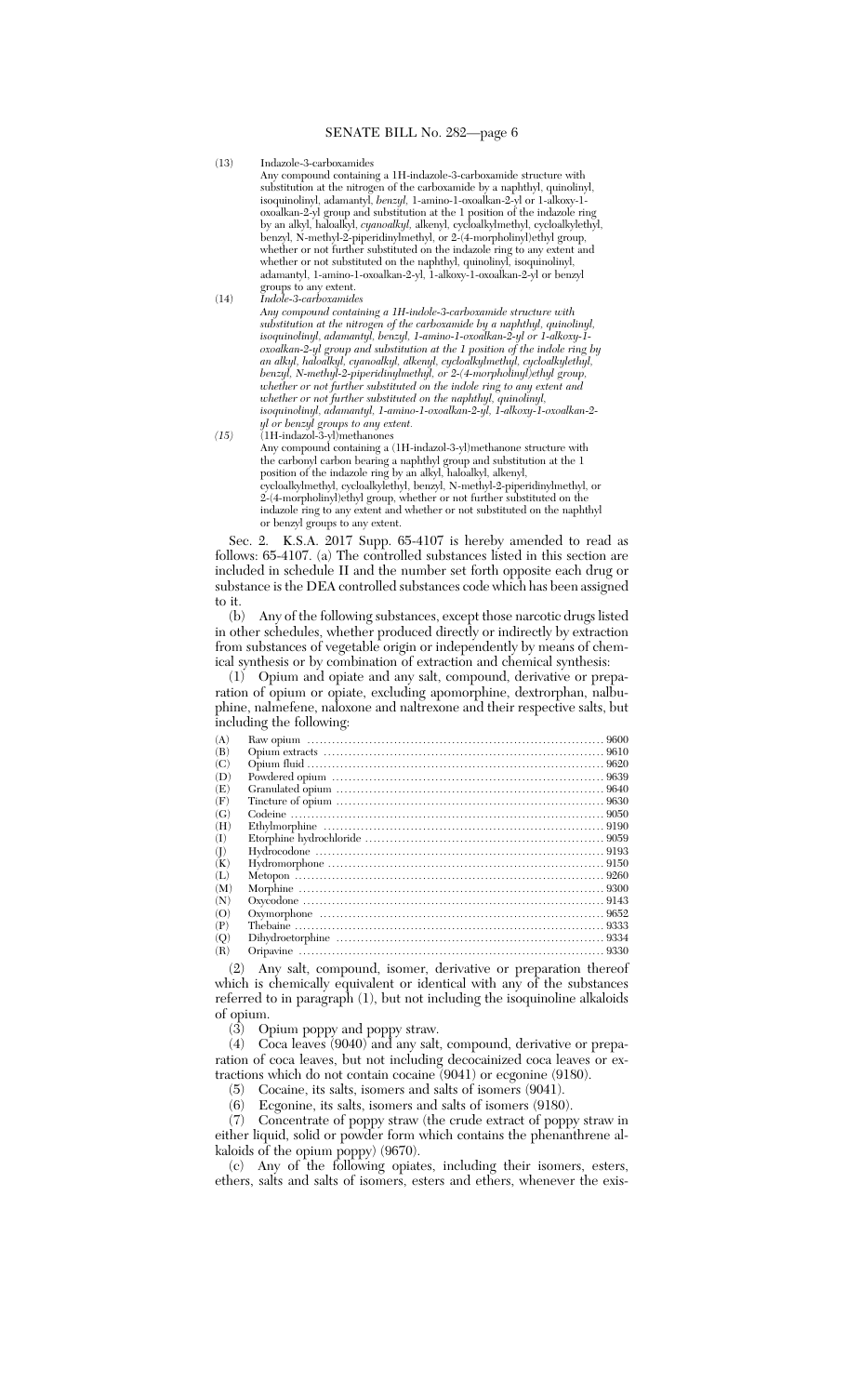(13) Indazole-3-carboxamides

Any compound containing a 1H-indazole-3-carboxamide structure with substitution at the nitrogen of the carboxamide by a naphthyl, quinolinyl, isoquinolinyl, adamantyl, *benzyl,* 1-amino-1-oxoalkan-2-yl or 1-alkoxy-1 oxoalkan-2-yl group and substitution at the 1 position of the indazole ring by an alkyl, haloalkyl, *cyanoalkyl,* alkenyl, cycloalkylmethyl, cycloalkylethyl, benzyl, N-methyl-2-piperidinylmethyl, or 2-(4-morpholinyl)ethyl group, whether or not further substituted on the indazole ring to any extent and whether or not substituted on the naphthyl, quinolinyl, isoquinolinyl, adamantyl, 1-amino-1-oxoalkan-2-yl, 1-alkoxy-1-oxoalkan-2-yl or benzyl groups to any extent.

(14) *Indole-3-carboxamides Any compound containing a 1H-indole-3-carboxamide structure with substitution at the nitrogen of the carboxamide by a naphthyl, quinolinyl, isoquinolinyl, adamantyl, benzyl, 1-amino-1-oxoalkan-2-yl or 1-alkoxy-1 oxoalkan-2-yl group and substitution at the 1 position of the indole ring by an alkyl, haloalkyl, cyanoalkyl, alkenyl, cycloalkylmethyl, cycloalkylethyl, benzyl, N-methyl-2-piperidinylmethyl, or 2-(4-morpholinyl)ethyl group, whether or not further substituted on the indole ring to any extent and whether or not further substituted on the naphthyl, quinolinyl, isoquinolinyl, adamantyl, 1-amino-1-oxoalkan-2-yl, 1-alkoxy-1-oxoalkan-2 yl or benzyl groups to any extent.*

*(15)* (1H-indazol-3-yl)methanones Any compound containing a (1H-indazol-3-yl)methanone structure with the carbonyl carbon bearing a naphthyl group and substitution at the 1 position of the indazole ring by an alkyl, haloalkyl, alkenyl, cycloalkylmethyl, cycloalkylethyl, benzyl, N-methyl-2-piperidinylmethyl, or 2-(4-morpholinyl)ethyl group, whether or not further substituted on the indazole ring to any extent and whether or not substituted on the naphthyl or benzyl groups to any extent.

Sec. 2. K.S.A. 2017 Supp. 65-4107 is hereby amended to read as follows: 65-4107. (a) The controlled substances listed in this section are included in schedule II and the number set forth opposite each drug or substance is the DEA controlled substances code which has been assigned to it.

(b) Any of the following substances, except those narcotic drugs listed in other schedules, whether produced directly or indirectly by extraction from substances of vegetable origin or independently by means of chemical synthesis or by combination of extraction and chemical synthesis:

(1) Opium and opiate and any salt, compound, derivative or preparation of opium or opiate, excluding apomorphine, dextrorphan, nalbuphine, nalmefene, naloxone and naltrexone and their respective salts, but including the following:

| (A) |  |
|-----|--|
| (B) |  |
| (C) |  |
| (D) |  |
| (E) |  |
| (F) |  |
| (G) |  |
| (H) |  |
| (I) |  |
| (1) |  |
| (K) |  |
| (L) |  |
| (M) |  |
| (N) |  |
| (O) |  |
| (P) |  |
| (O) |  |
| (R) |  |

(2) Any salt, compound, isomer, derivative or preparation thereof which is chemically equivalent or identical with any of the substances referred to in paragraph (1), but not including the isoquinoline alkaloids of opium.

(3) Opium poppy and poppy straw.

(4) Coca leaves (9040) and any salt, compound, derivative or preparation of coca leaves, but not including decocainized coca leaves or extractions which do not contain cocaine (9041) or ecgonine (9180).

(5) Cocaine, its salts, isomers and salts of isomers (9041).

Ecgonine, its salts, isomers and salts of isomers (9180).

(7) Concentrate of poppy straw (the crude extract of poppy straw in either liquid, solid or powder form which contains the phenanthrene alkaloids of the opium poppy) (9670).

(c) Any of the following opiates, including their isomers, esters, ethers, salts and salts of isomers, esters and ethers, whenever the exis-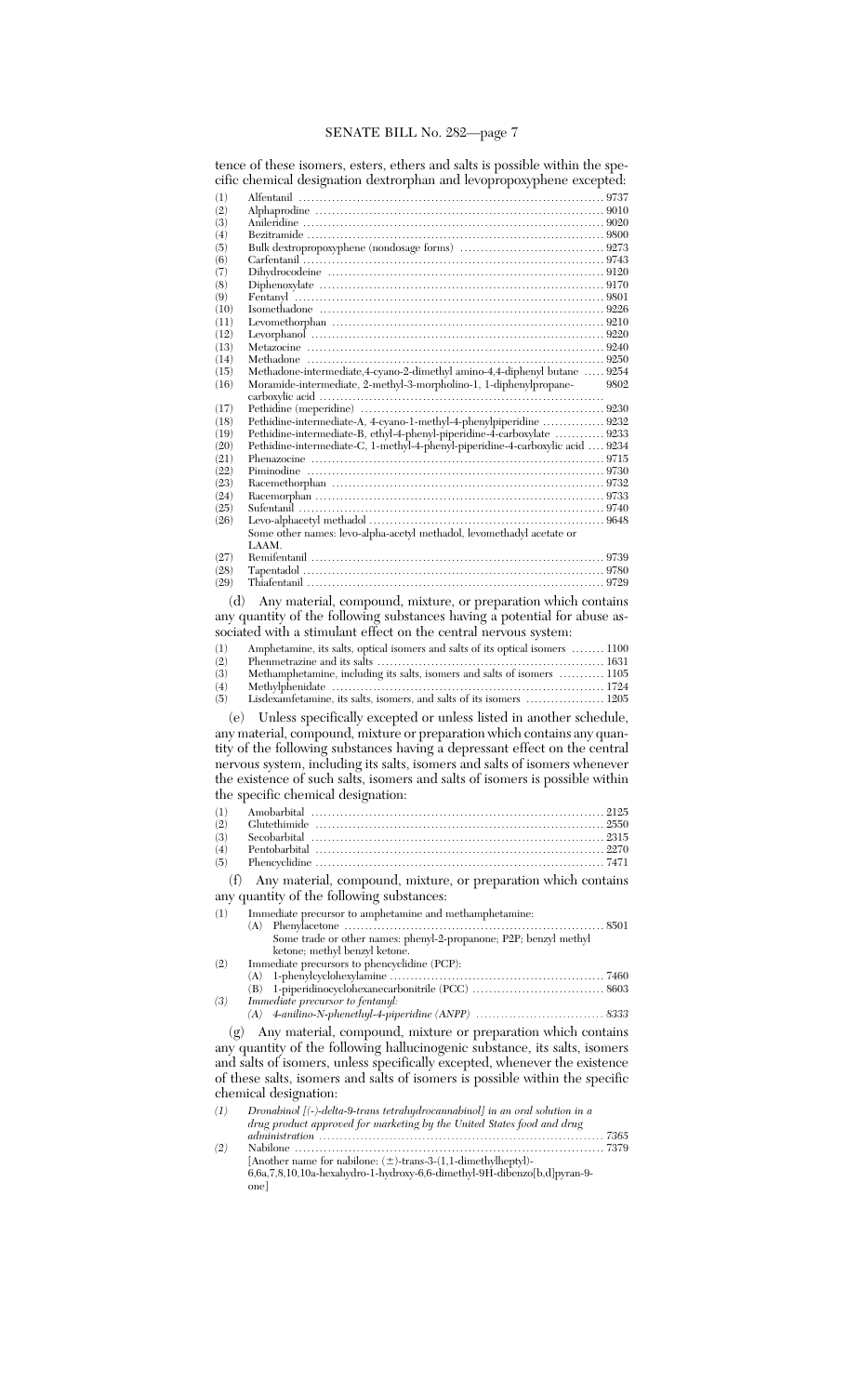|                  | tence of these isomers, esters, ethers and saits is possible within the spe-   |      |
|------------------|--------------------------------------------------------------------------------|------|
|                  | cific chemical designation dextrorphan and levopropoxyphene excepted:          |      |
| (1)              |                                                                                |      |
| (2)              |                                                                                |      |
| (3)<br>(4)       |                                                                                |      |
| (5)              |                                                                                |      |
| (6)              |                                                                                |      |
| (7)              |                                                                                |      |
| (8)              |                                                                                |      |
| (9)              |                                                                                |      |
| (10)<br>(11)     |                                                                                |      |
| (12)             |                                                                                |      |
| (13)             |                                                                                |      |
| (14)             |                                                                                |      |
| (15)             | Methadone-intermediate, 4-cyano-2-dimethyl amino-4, 4-diphenyl butane  9254    |      |
| (16)             | Moramide-intermediate, 2-methyl-3-morpholino-1, 1-diphenylpropane-             | 9802 |
| (17)             |                                                                                |      |
| (18)             | Pethidine-intermediate-A, 4-cyano-1-methyl-4-phenylpiperidine  9232            |      |
| (19)             | Pethidine-intermediate-B, ethyl-4-phenyl-piperidine-4-carboxylate  9233        |      |
| (20)             | Pethidine-intermediate-C, 1-methyl-4-phenyl-piperidine-4-carboxylic acid  9234 |      |
| (21)             |                                                                                |      |
| (22)             |                                                                                |      |
| (23)             |                                                                                |      |
| (24)<br>(25)     |                                                                                |      |
| (26)             |                                                                                |      |
|                  | Some other names: levo-alpha-acetyl methadol, levomethadyl acetate or          |      |
|                  | LAAM.                                                                          |      |
| (27)             |                                                                                |      |
| (28)             |                                                                                |      |
| (29)             |                                                                                |      |
| (d)              | Any material, compound, mixture, or preparation which contains                 |      |
|                  | any quantity of the following substances having a potential for abuse as-      |      |
|                  | sociated with a stimulant effect on the central nervous system:                |      |
| (1)              | Amphetamine, its salts, optical isomers and salts of its optical isomers  1100 |      |
| (2)              |                                                                                |      |
| (3)              | Methamphetamine, including its salts, isomers and salts of isomers  1105       |      |
| (4)              |                                                                                |      |
| (5)              | Lisdexamfetamine, its salts, isomers, and salts of its isomers  1205           |      |
|                  | (e) Unless specifically excepted or unless listed in another schedule,         |      |
|                  | any material, compound, mixture or preparation which contains any quan-        |      |
|                  | tity of the following substances having a depressant effect on the central     |      |
|                  | nervous system, including its salts, isomers and salts of isomers whenever     |      |
|                  | the existence of such salts, isomers and salts of isomers is possible within   |      |
|                  | the specific chemical designation:                                             |      |
|                  | Amobarbital                                                                    |      |
| (1)<br>(2)       |                                                                                |      |
| (3)              |                                                                                |      |
| (4)              |                                                                                |      |
| (5)              |                                                                                |      |
| (f)              | Any material, compound, mixture, or preparation which contains                 |      |
|                  | any quantity of the following substances:                                      |      |
|                  |                                                                                |      |
| (1)              | Immediate precursor to amphetamine and methamphetamine:<br>(A)                 |      |
|                  | Some trade or other names: phenyl-2-propanone; P2P; benzyl methyl              |      |
|                  | ketone; methyl benzyl ketone.                                                  |      |
| (2)              | Immediate precursors to phencyclidine (PCP):                                   |      |
|                  | (A)                                                                            |      |
|                  | (B)                                                                            |      |
| (3)              | Immediate precursor to fentanyl:                                               |      |
|                  | (A)                                                                            |      |
| (g)              | Any material, compound, mixture or preparation which contains                  |      |
|                  | any quantity of the following hallucinogenic substance, its salts, isomers     |      |
|                  | and salts of isomers, unless specifically excepted, whenever the existence     |      |
|                  |                                                                                |      |
|                  | of these salts, isomers and salts of isomers is possible within the specific   |      |
|                  |                                                                                |      |
|                  | chemical designation:                                                          |      |
| $\left(1\right)$ | Dronabinol [(-)-delta-9-trans tetrahydrocannabinol] in an oral solution in a   |      |
|                  | drug product approved for marketing by the United States food and drug         |      |
| (2)              | [Another name for nabilone: $(\pm)$ -trans-3-(1,1-dimethylheptyl)-             |      |

tence of these isomers, esters, ethers and salts is possible within the spe-

| (1) | Dronabinol $ (-)$ -delta-9-trans tetrahydrocannabinol in an oral solution in a  |  |
|-----|---------------------------------------------------------------------------------|--|
|     | drug product approved for marketing by the United States food and drug          |  |
|     |                                                                                 |  |
| (2) |                                                                                 |  |
|     | [Another name for nabilone: $(\pm)$ -trans-3-(1,1-dimethylheptyl)-              |  |
|     | $6,6a,7,8,10,10a$ -hexahydro-1-hydroxy-6,6-dimethyl-9H-dibenzo $[b,d]$ pyran-9- |  |
|     | one                                                                             |  |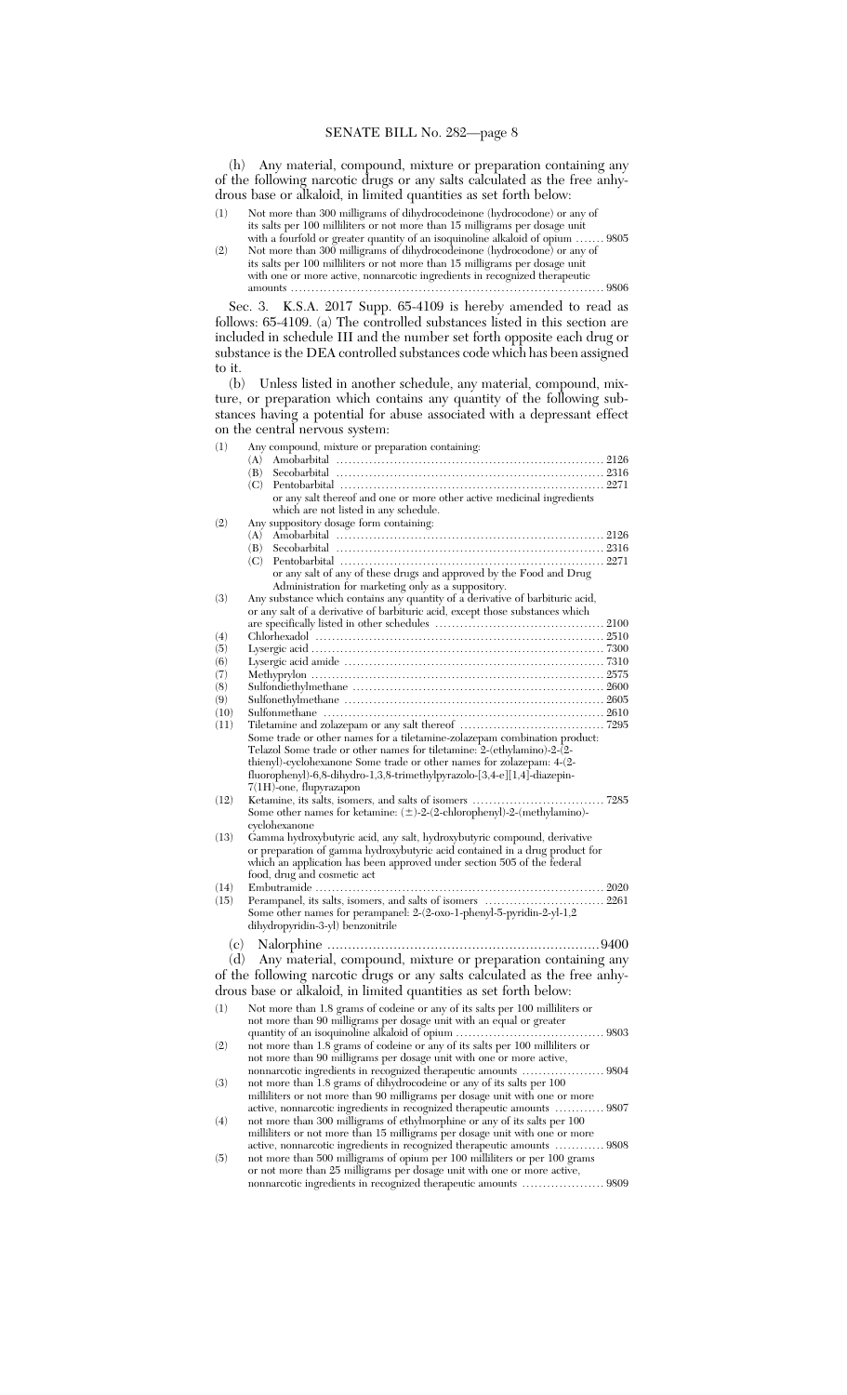(h) Any material, compound, mixture or preparation containing any of the following narcotic drugs or any salts calculated as the free anhydrous base or alkaloid, in limited quantities as set forth below:

- (1) Not more than 300 milligrams of dihydrocodeinone (hydrocodone) or any of its salts per 100 milliliters or not more than 15 milligrams per dosage unit with a fourfold or greater quantity of an isoquinoline alkaloid of opium ....... 9805
- (2) Not more than 300 milligrams of dihydrocodeinone (hydrocodone) or any of its salts per 100 milliliters or not more than 15 milligrams per dosage unit with one or more active, nonnarcotic ingredients in recognized therapeutic amounts ............................................................................ 9806

Sec. 3. K.S.A. 2017 Supp. 65-4109 is hereby amended to read as follows: 65-4109. (a) The controlled substances listed in this section are included in schedule III and the number set forth opposite each drug or substance is the DEA controlled substances code which has been assigned to it.

(b) Unless listed in another schedule, any material, compound, mixture, or preparation which contains any quantity of the following substances having a potential for abuse associated with a depressant effect on the central nervous system:

| (1)  | Any compound, mixture or preparation containing:                                                                                                      |
|------|-------------------------------------------------------------------------------------------------------------------------------------------------------|
|      | (A)                                                                                                                                                   |
|      | (B)                                                                                                                                                   |
|      | (C)<br>or any salt thereof and one or more other active medicinal ingredients                                                                         |
|      | which are not listed in any schedule.                                                                                                                 |
| (2)  | Any suppository dosage form containing:                                                                                                               |
|      | (A)                                                                                                                                                   |
|      | (B)                                                                                                                                                   |
|      | (C)                                                                                                                                                   |
|      | or any salt of any of these drugs and approved by the Food and Drug                                                                                   |
|      | Administration for marketing only as a suppository.                                                                                                   |
| (3)  | Any substance which contains any quantity of a derivative of barbituric acid,                                                                         |
|      | or any salt of a derivative of barbituric acid, except those substances which                                                                         |
| (4)  |                                                                                                                                                       |
| (5)  |                                                                                                                                                       |
| (6)  |                                                                                                                                                       |
| (7)  |                                                                                                                                                       |
| (8)  |                                                                                                                                                       |
| (9)  |                                                                                                                                                       |
| (10) |                                                                                                                                                       |
| (11) |                                                                                                                                                       |
|      | Some trade or other names for a tiletamine-zolazepam combination product:                                                                             |
|      | Telazol Some trade or other names for tiletamine: 2-(ethylamino)-2-(2-<br>thienyl)-cyclohexanone Some trade or other names for zolazepam: 4-(2-       |
|      | fluorophenyl)-6,8-dihydro-1,3,8-trimethylpyrazolo-[3,4-e][1,4]-diazepin-                                                                              |
|      | $7(1H)$ -one, flupyrazapon                                                                                                                            |
| (12) |                                                                                                                                                       |
|      | Some other names for ketamine: $(\pm)$ -2- $(2$ -chlorophenyl)-2- $(methylamino)$ -                                                                   |
|      | cyclohexanone                                                                                                                                         |
| (13) | Gamma hydroxybutyric acid, any salt, hydroxybutyric compound, derivative                                                                              |
|      | or preparation of gamma hydroxybutyric acid contained in a drug product for                                                                           |
|      | which an application has been approved under section 505 of the federal<br>food, drug and cosmetic act                                                |
| (14) |                                                                                                                                                       |
| (15) |                                                                                                                                                       |
|      | Some other names for perampanel: 2-(2-oxo-1-phenyl-5-pyridin-2-yl-1,2                                                                                 |
|      | dihydropyridin-3-yl) benzonitrile                                                                                                                     |
| (c)  |                                                                                                                                                       |
| (d)  | Any material, compound, mixture or preparation containing any                                                                                         |
|      |                                                                                                                                                       |
|      | of the following narcotic drugs or any salts calculated as the free anhy-                                                                             |
|      | drous base or alkaloid, in limited quantities as set forth below:                                                                                     |
| (1)  | Not more than 1.8 grams of codeine or any of its salts per 100 milliliters or                                                                         |
|      | not more than 90 milligrams per dosage unit with an equal or greater                                                                                  |
|      |                                                                                                                                                       |
| (2)  | not more than 1.8 grams of codeine or any of its salts per 100 milliliters or<br>not more than 90 milligrams per dosage unit with one or more active, |
|      |                                                                                                                                                       |
| (3)  | not more than 1.8 grams of dihydrocodeine or any of its salts per 100                                                                                 |
|      | milliliters or not more than 90 milligrams per dosage unit with one or more                                                                           |
|      | active, nonnarcotic ingredients in recognized therapeutic amounts  9807                                                                               |
| (4)  | not more than 300 milligrams of ethylmorphine or any of its salts per 100                                                                             |
|      | milliliters or not more than 15 milligrams per dosage unit with one or more                                                                           |
|      | active, nonnarcotic ingredients in recognized therapeutic amounts  9808                                                                               |
| (5)  | not more than 500 milligrams of opium per 100 milliliters or per 100 grams                                                                            |
|      | or not more than 25 milligrams per dosage unit with one or more active,                                                                               |

nonnarcotic ingredients in recognized therapeutic amounts .................... 9809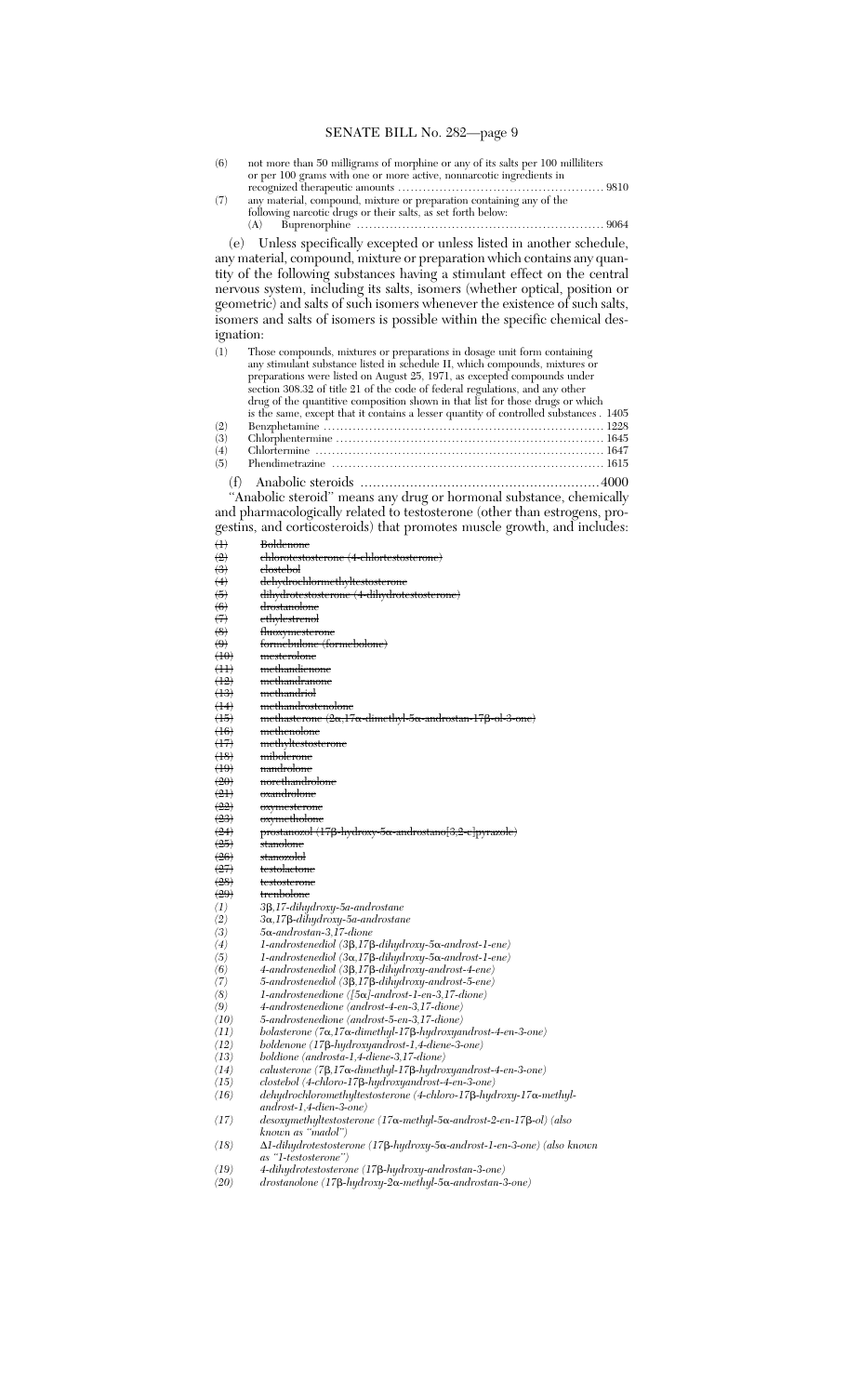- (6) not more than 50 milligrams of morphine or any of its salts per 100 milliliters or per 100 grams with one or more active, nonnarcotic ingredients in recognized therapeutic amounts .................................................. 9810
- (7) any material, compound, mixture or preparation containing any of the following narcotic drugs or their salts, as set forth below: (A) Buprenorphine ............................................................ 9064

(e) Unless specifically excepted or unless listed in another schedule, any material, compound, mixture or preparation which contains any quantity of the following substances having a stimulant effect on the central nervous system, including its salts, isomers (whether optical, position or geometric) and salts of such isomers whenever the existence of such salts, isomers and salts of isomers is possible within the specific chemical designation:

| (1) | Those compounds, mixtures or preparations in dosage unit form containing               |                 |
|-----|----------------------------------------------------------------------------------------|-----------------|
|     | any stimulant substance listed in schedule II, which compounds, mixtures or            |                 |
|     | preparations were listed on August 25, 1971, as excepted compounds under               |                 |
|     | section 308.32 of title 21 of the code of federal regulations, and any other           |                 |
|     | drug of the quantitive composition shown in that list for those drugs or which         |                 |
|     | is the same, except that it contains a lesser quantity of controlled substances . 1405 |                 |
| (2) |                                                                                        |                 |
| (3) |                                                                                        |                 |
| (4) |                                                                                        |                 |
| (5) |                                                                                        |                 |
|     | (A) Angleska standa                                                                    | $\Delta \Omega$ |

(f) Anabolic steroids ..........................................................4000 ''Anabolic steroid'' means any drug or hormonal substance, chemically and pharmacologically related to testosterone (other than estrogens, progestins, and corticosteroids) that promotes muscle growth, and includes:

| $^{(1)}$                       | <b>Boldenone</b>                                                                        |
|--------------------------------|-----------------------------------------------------------------------------------------|
| $\left( 2 \right)$             | <del>chlorotestosterone (4-chlortestosterone)</del>                                     |
| $\left(3\right)$               | <del>clostebol</del>                                                                    |
| $\left( 4 \right)$             | <del>dehydrochlormethyltestosterone</del>                                               |
| $\ddot{\bm{\theta}}$           | dihydrotestosterone (4-dihydrotestosterone)                                             |
|                                | <del>drostanolone</del>                                                                 |
| $\frac{6}{7}$                  | ethylestrenol                                                                           |
| $\left\langle 8 \right\rangle$ | <del>fluoxymesterone</del>                                                              |
| $\left( 9 \right)$             | formebulone (formebolone)                                                               |
| $\langle 10 \rangle$           | mesterolone                                                                             |
| $\left( \pm \right)$           | <del>methandienone</del>                                                                |
| (12)                           | <del>methandranone</del>                                                                |
| $\left( \mathrm{13}\right)$    | <del>methandriol</del>                                                                  |
| $\left( \pm 4 \right)$         | <del>methandrostenolone</del>                                                           |
| $\left(15\right)$              | methasterone (2α,17α-dimethyl-5α-androstan-17β-ol-3-one)                                |
| (16)                           | methenolone                                                                             |
| $\left(17\right)$              | methyltestosterone                                                                      |
| $\left(18\right)$              | mibolerone                                                                              |
| $\left(19\right)$              | <del>nandrolone</del>                                                                   |
| (20)                           | norethandrolone                                                                         |
| $\left( 21 \right)$            | <del>oxandrolone</del>                                                                  |
| $\left( 22\right)$             | oxymesterone                                                                            |
| $\left( 23 \right)$            | <del>oxymetholone</del>                                                                 |
| (24)                           | prostanozol (17β-hydroxy-5α-androstano[3,2-e]pyrazole)                                  |
| (25)                           | <del>stanolone</del>                                                                    |
| (26)                           | <del>stanozolol</del>                                                                   |
| $\left(27\right)$              | <del>testolactone</del>                                                                 |
| (28)                           | testosterone                                                                            |
| (29)                           | trenbolone                                                                              |
| (1)                            | 3β,17-dihydroxy-5a-androstane                                                           |
| (2)                            | 3α,17β-dihydroxy-5a-androstane                                                          |
| (3)                            | $5\alpha$ -androstan-3,17-dione                                                         |
| (4)                            | $1$ -androstenediol (3 $\beta$ ,17 $\beta$ -dihydroxy-5 $\alpha$ -androst-1-ene)        |
| $\left( 5\right)$              | $1$ -androstenediol (3 $\alpha$ ,17 $\beta$ -dihydroxy-5 $\alpha$ -androst-1-ene)       |
| (6)                            | $4$ -androstenediol (3 $\beta$ ,17 $\beta$ -dihydroxy-androst-4-ene)                    |
| (7)                            | 5-androstenediol (3B,17B-dihydroxy-androst-5-ene)                                       |
| (8)                            | $1$ -androstenedione ([5 $\alpha$ ]-androst-1-en-3,17-dione)                            |
| (9)                            | 4-androstenedione (androst-4-en-3,17-dione)                                             |
| (10)                           | 5-androstenedione (androst-5-en-3,17-dione)                                             |
| (11)                           | bolasterone (7 $\alpha$ ,17 $\alpha$ -dimethyl-17 $\beta$ -hydroxyandrost-4-en-3-one)   |
| (12)                           | boldenone (17 <sub>8</sub> -hydroxyandrost-1,4-diene-3-one)                             |
| (13)                           | boldione (androsta-1,4-diene-3,17-dione)                                                |
| (14)                           | calusterone $(7\beta, 17\alpha$ -dimethyl-17 $\beta$ -hydroxyandrost-4-en-3-one)        |
| (15)                           | clostebol (4-chloro-17ß-hydroxyandrost-4-en-3-one)                                      |
| (16)                           | $dehydrochloromethyl test osterone (4-chloro-17\beta-hydroxy-17\alpha-methyl-12\gamma)$ |
|                                | $androst-1, 4-dien-3-one)$                                                              |
| (17)                           | desoxymethyltestosterone (17α-methyl-5α-androst-2-en-17β-ol) (also                      |
|                                | known as "madol")                                                                       |

*known as ''madol'') (18)* ∆*1-dihydrotestosterone (17*b*-hydroxy-5*a*-androst-1-en-3-one) (also known as ''1-testosterone'')*

- *(19) 4-dihydrotestosterone (17*b*-hydroxy-androstan-3-one)*
- *(20) drostanolone (17*b*-hydroxy-2*a*-methyl-5*a*-androstan-3-one)*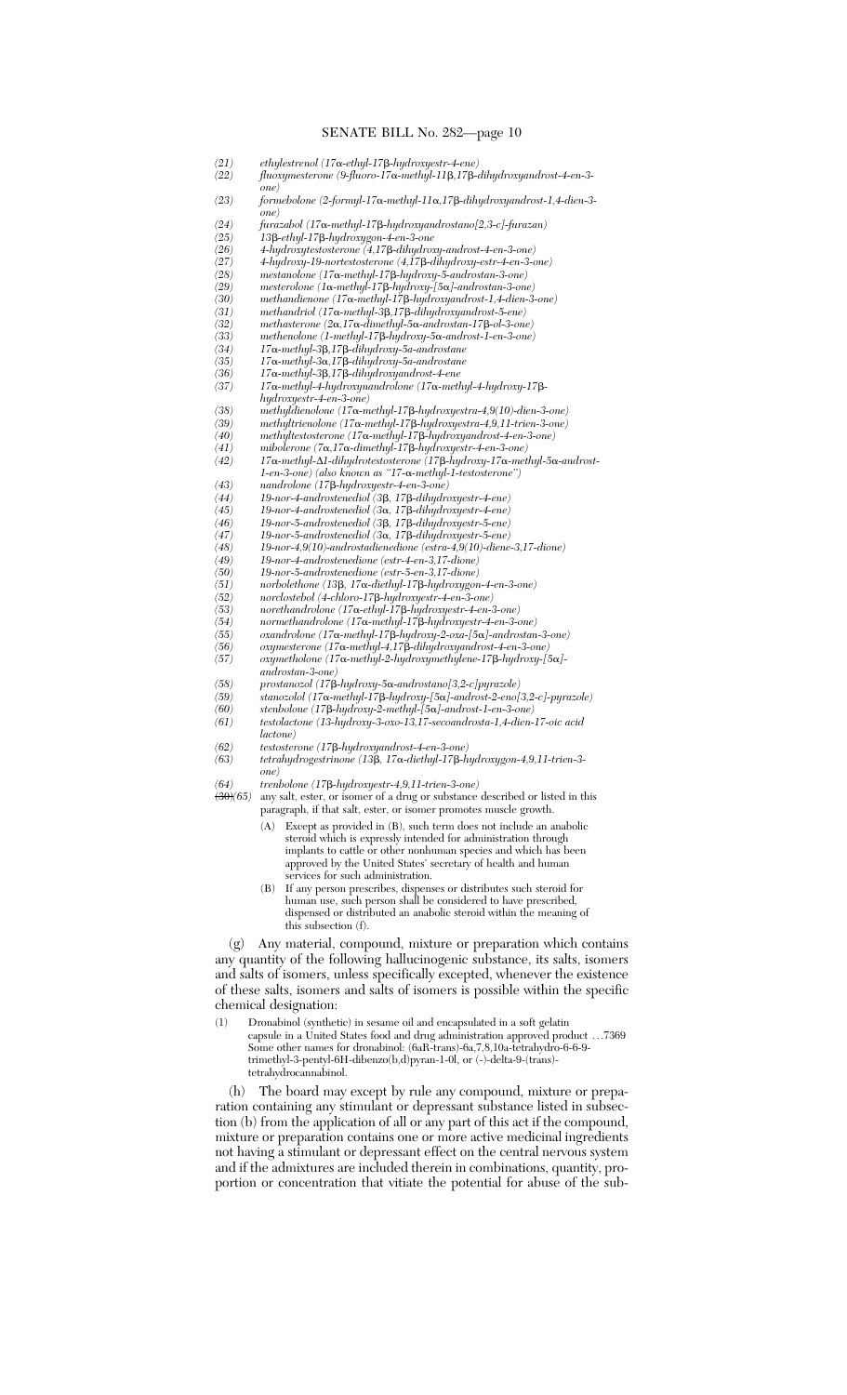- *(21) ethylestrenol (17*a*-ethyl-17*b*-hydroxyestr-4-ene)*
	- *(22) fluoxymesterone (9-fluoro-17*a*-methyl-11*b*,17*b*-dihydroxyandrost-4-en-3 one)*
- *(23) formebolone (2-formyl-17*a*-methyl-11*a*,17*b*-dihydroxyandrost-1,4-dien-3-*
- *one)*
- *(24) furazabol (17*a*-methyl-17*b*-hydroxyandrostano[2,3-c]-furazan)*
- *(25) 13*b*-ethyl-17*b*-hydroxygon-4-en-3-one*
- *(26) 4-hydroxytestosterone (4,17*b*-dihydroxy-androst-4-en-3-one) (27) 4-hydroxy-19-nortestosterone (4,17*b*-dihydroxy-estr-4-en-3-one)*
- *(28) mestanolone (17*a*-methyl-17*b*-hydroxy-5-androstan-3-one)*
- *(29) mesterolone (1*a*-methyl-17*b*-hydroxy-[5*a*]-androstan-3-one)*
- *(30) methandienone (17*a*-methyl-17*b*-hydroxyandrost-1,4-dien-3-one) (31) methandriol (17*a*-methyl-3*b*,17*b*-dihydroxyandrost-5-ene)*
- 
- *(32) methasterone (2*a*,17*a*-dimethyl-5*a*-androstan-17*b*-ol-3-one) (33) methenolone (1-methyl-17*b*-hydroxy-5*a*-androst-1-en-3-one)*
- *(34) 17*a*-methyl-3*b*,17*b*-dihydroxy-5a-androstane*
- *(35) 17*a*-methyl-3*a*,17*b*-dihydroxy-5a-androstane*
- *(36) 17*a*-methyl-3*b*,17*b*-dihydroxyandrost-4-ene (37) 17*a*-methyl-4-hydroxynandrolone (17*a*-methyl-4-hydroxy-17*b*-*
- *hydroxyestr-4-en-3-one)*
- *(38) methyldienolone (17*a*-methyl-17*b*-hydroxyestra-4,9(10)-dien-3-one)*
- *(39) methyltrienolone (17*a*-methyl-17*b*-hydroxyestra-4,9,11-trien-3-one)*
- *(40) methyltestosterone (17*a*-methyl-17*b*-hydroxyandrost-4-en-3-one)*
- *(41) mibolerone (7*a*,17*a*-dimethyl-17*b*-hydroxyestr-4-en-3-one) (42) 17*a*-methyl-*∆*1-dihydrotestosterone (17*b*-hydroxy-17*a*-methyl-5*a*-androst-1-en-3-one) (also known as ''17-*a*-methyl-1-testosterone'')*
- *(43) nandrolone (17*b*-hydroxyestr-4-en-3-one)*
- *(44) 19-nor-4-androstenediol (3*b*, 17*b*-dihydroxyestr-4-ene)*
- *(45) 19-nor-4-androstenediol (3*a*, 17*b*-dihydroxyestr-4-ene)*
- *(46) 19-nor-5-androstenediol (3*b*, 17*b*-dihydroxyestr-5-ene)*
- *(47) 19-nor-5-androstenediol (3*a*, 17*b*-dihydroxyestr-5-ene)*
- *(48) 19-nor-4,9(10)-androstadienedione (estra-4,9(10)-diene-3,17-dione)*
- *(49) 19-nor-4-androstenedione (estr-4-en-3,17-dione)*
- *(50) 19-nor-5-androstenedione (estr-5-en-3,17-dione) (51) norbolethone (13*b*, 17*a*-diethyl-17*b*-hydroxygon-4-en-3-one)*
- *(52) norclostebol (4-chloro-17*b*-hydroxyestr-4-en-3-one)*
- *(53) norethandrolone (17*a*-ethyl-17*b*-hydroxyestr-4-en-3-one)*
- *(54) normethandrolone (17*a*-methyl-17*b*-hydroxyestr-4-en-3-one)*
- *(55) oxandrolone (17*a*-methyl-17*b*-hydroxy-2-oxa-[5*a*]-androstan-3-one)*
- *(56) oxymesterone (17*a*-methyl-4,17*b*-dihydroxyandrost-4-en-3-one)*
- *(57) oxymetholone (17*a*-methyl-2-hydroxymethylene-17*b*-hydroxy-[5*a*] androstan-3-one)*
- 
- *(58) prostanozol (17*b*-hydroxy-5*a*-androstano[3,2-c]pyrazole) (59) stanozolol (17*a*-methyl-17*b*-hydroxy-[5*a*]-androst-2-eno[3,2-c]-pyrazole)*
- *(60) stenbolone (17*b*-hydroxy-2-methyl-[5*a*]-androst-1-en-3-one)*
- *(61) testolactone (13-hydroxy-3-oxo-13,17-secoandrosta-1,4-dien-17-oic acid*
- *lactone)*
- *(62) testosterone (17*b*-hydroxyandrost-4-en-3-one)*
- *(63) tetrahydrogestrinone (13*b*, 17*a*-diethyl-17*b*-hydroxygon-4,9,11-trien-3 one)*

*(64) trenbolone (17*b*-hydroxyestr-4,9,11-trien-3-one)*

- any salt, ester, or isomer of a drug or substance described or listed in this paragraph, if that salt, ester, or isomer promotes muscle growth.
	- (A) Except as provided in (B), such term does not include an anabolic steroid which is expressly intended for administration through implants to cattle or other nonhuman species and which has been approved by the United States' secretary of health and human services for such administration.
	- (B) If any person prescribes, dispenses or distributes such steroid for human use, such person shall be considered to have prescribed, dispensed or distributed an anabolic steroid within the meaning of this subsection (f).

(g) Any material, compound, mixture or preparation which contains any quantity of the following hallucinogenic substance, its salts, isomers and salts of isomers, unless specifically excepted, whenever the existence of these salts, isomers and salts of isomers is possible within the specific chemical designation:

(1) Dronabinol (synthetic) in sesame oil and encapsulated in a soft gelatin capsule in a United States food and drug administration approved product ...7369 Some other names for dronabinol: (6aR-trans)-6a,7,8,10a-tetrahydro-6-6-9 trimethyl-3-pentyl-6H-dibenzo(b,d)pyran-1-0l, or (-)-delta-9-(trans) tetrahydrocannabinol.

(h) The board may except by rule any compound, mixture or preparation containing any stimulant or depressant substance listed in subsection (b) from the application of all or any part of this act if the compound, mixture or preparation contains one or more active medicinal ingredients not having a stimulant or depressant effect on the central nervous system and if the admixtures are included therein in combinations, quantity, proportion or concentration that vitiate the potential for abuse of the sub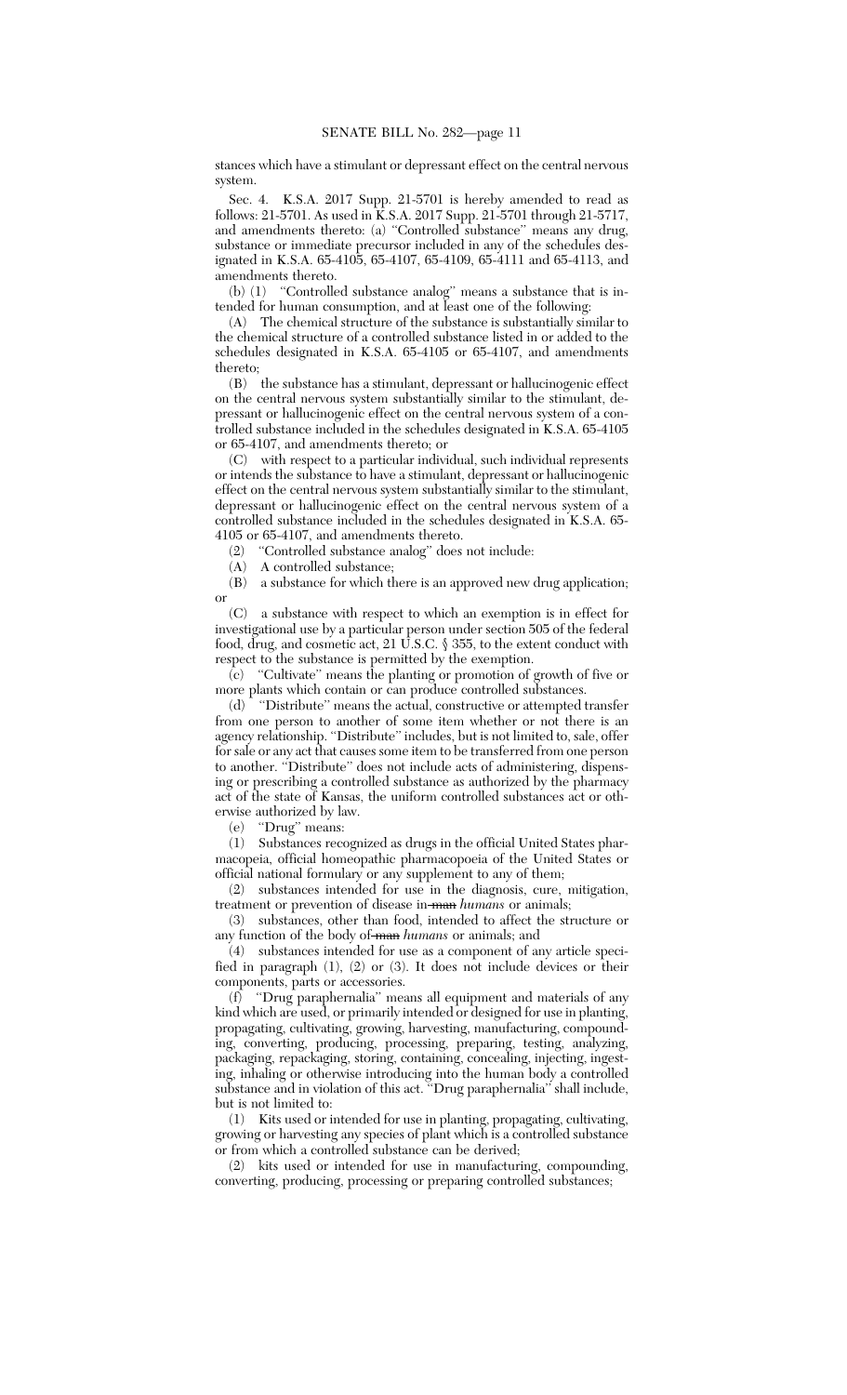stances which have a stimulant or depressant effect on the central nervous system.

Sec. 4. K.S.A. 2017 Supp. 21-5701 is hereby amended to read as follows: 21-5701. As used in K.S.A. 2017 Supp. 21-5701 through 21-5717, and amendments thereto: (a) ''Controlled substance'' means any drug, substance or immediate precursor included in any of the schedules designated in K.S.A. 65-4105, 65-4107, 65-4109, 65-4111 and 65-4113, and amendments thereto.

(b) (1) ''Controlled substance analog'' means a substance that is intended for human consumption, and at least one of the following:

(A) The chemical structure of the substance is substantially similar to the chemical structure of a controlled substance listed in or added to the schedules designated in K.S.A. 65-4105 or 65-4107, and amendments thereto;

(B) the substance has a stimulant, depressant or hallucinogenic effect on the central nervous system substantially similar to the stimulant, depressant or hallucinogenic effect on the central nervous system of a controlled substance included in the schedules designated in K.S.A. 65-4105 or 65-4107, and amendments thereto; or

(C) with respect to a particular individual, such individual represents or intends the substance to have a stimulant, depressant or hallucinogenic effect on the central nervous system substantially similar to the stimulant, depressant or hallucinogenic effect on the central nervous system of a controlled substance included in the schedules designated in K.S.A. 65- 4105 or 65-4107, and amendments thereto.

(2) "Controlled substance analog" does not include:<br>(A) A controlled substance:

A controlled substance;

(B) a substance for which there is an approved new drug application; or

(C) a substance with respect to which an exemption is in effect for investigational use by a particular person under section 505 of the federal food, drug, and cosmetic act, 21 U.S.C. § 355, to the extent conduct with respect to the substance is permitted by the exemption.

(c) ''Cultivate'' means the planting or promotion of growth of five or more plants which contain or can produce controlled substances.

(d) ''Distribute'' means the actual, constructive or attempted transfer from one person to another of some item whether or not there is an agency relationship. "Distribute" includes, but is not limited to, sale, offer for sale or any act that causes some item to be transferred from one person to another. ''Distribute'' does not include acts of administering, dispensing or prescribing a controlled substance as authorized by the pharmacy act of the state of Kansas, the uniform controlled substances act or otherwise authorized by law.<br>(e) "Drug" means:

"Drug" means:

(1) Substances recognized as drugs in the official United States pharmacopeia, official homeopathic pharmacopoeia of the United States or official national formulary or any supplement to any of them;

(2) substances intended for use in the diagnosis, cure, mitigation, treatment or prevention of disease in-man *humans* or animals;

(3) substances, other than food, intended to affect the structure or any function of the body of man *humans* or animals; and

(4) substances intended for use as a component of any article specified in paragraph (1), (2) or (3). It does not include devices or their components, parts or accessories.

(f) ''Drug paraphernalia'' means all equipment and materials of any kind which are used, or primarily intended or designed for use in planting, propagating, cultivating, growing, harvesting, manufacturing, compounding, converting, producing, processing, preparing, testing, analyzing, packaging, repackaging, storing, containing, concealing, injecting, ingesting, inhaling or otherwise introducing into the human body a controlled substance and in violation of this act. ''Drug paraphernalia'' shall include, but is not limited to:

(1) Kits used or intended for use in planting, propagating, cultivating, growing or harvesting any species of plant which is a controlled substance or from which a controlled substance can be derived;

(2) kits used or intended for use in manufacturing, compounding, converting, producing, processing or preparing controlled substances;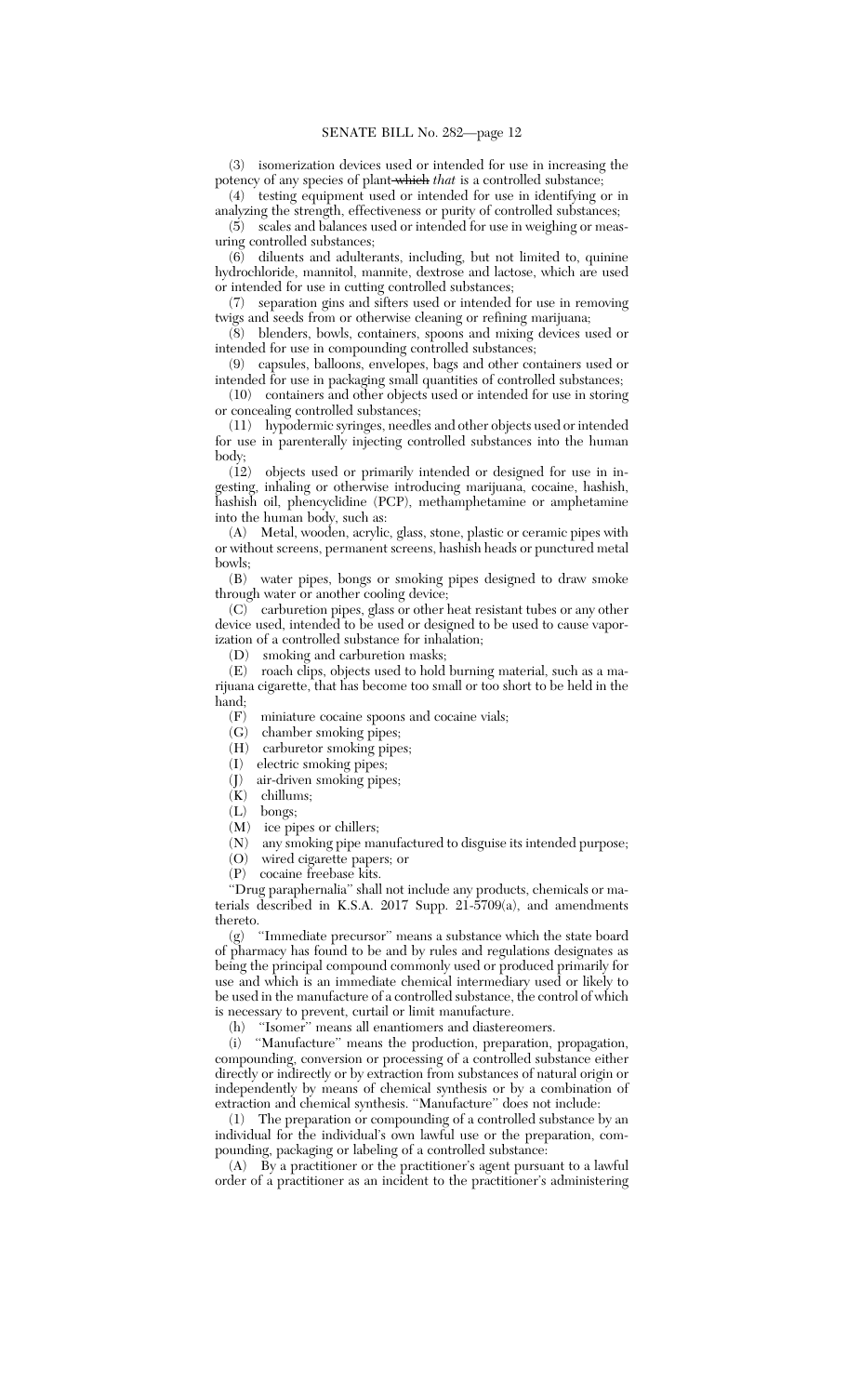(3) isomerization devices used or intended for use in increasing the potency of any species of plant which *that* is a controlled substance;

(4) testing equipment used or intended for use in identifying or in analyzing the strength, effectiveness or purity of controlled substances;

(5) scales and balances used or intended for use in weighing or measuring controlled substances;

(6) diluents and adulterants, including, but not limited to, quinine hydrochloride, mannitol, mannite, dextrose and lactose, which are used or intended for use in cutting controlled substances;

(7) separation gins and sifters used or intended for use in removing twigs and seeds from or otherwise cleaning or refining marijuana;

(8) blenders, bowls, containers, spoons and mixing devices used or intended for use in compounding controlled substances;

(9) capsules, balloons, envelopes, bags and other containers used or intended for use in packaging small quantities of controlled substances;

(10) containers and other objects used or intended for use in storing or concealing controlled substances;

(11) hypodermic syringes, needles and other objects used or intended for use in parenterally injecting controlled substances into the human body;

(12) objects used or primarily intended or designed for use in ingesting, inhaling or otherwise introducing marijuana, cocaine, hashish, hashish oil, phencyclidine (PCP), methamphetamine or amphetamine into the human body, such as:

(A) Metal, wooden, acrylic, glass, stone, plastic or ceramic pipes with or without screens, permanent screens, hashish heads or punctured metal bowls;

(B) water pipes, bongs or smoking pipes designed to draw smoke through water or another cooling device;

(C) carburetion pipes, glass or other heat resistant tubes or any other device used, intended to be used or designed to be used to cause vaporization of a controlled substance for inhalation;

(D) smoking and carburetion masks;

(E) roach clips, objects used to hold burning material, such as a marijuana cigarette, that has become too small or too short to be held in the hand;

 $\left( \mathrm{F}\right)$  –miniature cocaine spoons and cocaine vials;

(G) chamber smoking pipes;

(H) carburetor smoking pipes;

(I) electric smoking pipes;

(J) air-driven smoking pipes;

 $(K)$  chillums;

(L) bongs;

(M) ice pipes or chillers;

(N) any smoking pipe manufactured to disguise its intended purpose;

(O) wired cigarette papers; or

(P) cocaine freebase kits.

''Drug paraphernalia'' shall not include any products, chemicals or materials described in K.S.A. 2017 Supp. 21-5709(a), and amendments thereto.

(g) ''Immediate precursor'' means a substance which the state board of pharmacy has found to be and by rules and regulations designates as being the principal compound commonly used or produced primarily for use and which is an immediate chemical intermediary used or likely to be used in the manufacture of a controlled substance, the control of which is necessary to prevent, curtail or limit manufacture.

(h) ''Isomer'' means all enantiomers and diastereomers.

(i) ''Manufacture'' means the production, preparation, propagation, compounding, conversion or processing of a controlled substance either directly or indirectly or by extraction from substances of natural origin or independently by means of chemical synthesis or by a combination of extraction and chemical synthesis. ''Manufacture'' does not include:

(1) The preparation or compounding of a controlled substance by an individual for the individual's own lawful use or the preparation, compounding, packaging or labeling of a controlled substance:

(A) By a practitioner or the practitioner's agent pursuant to a lawful order of a practitioner as an incident to the practitioner's administering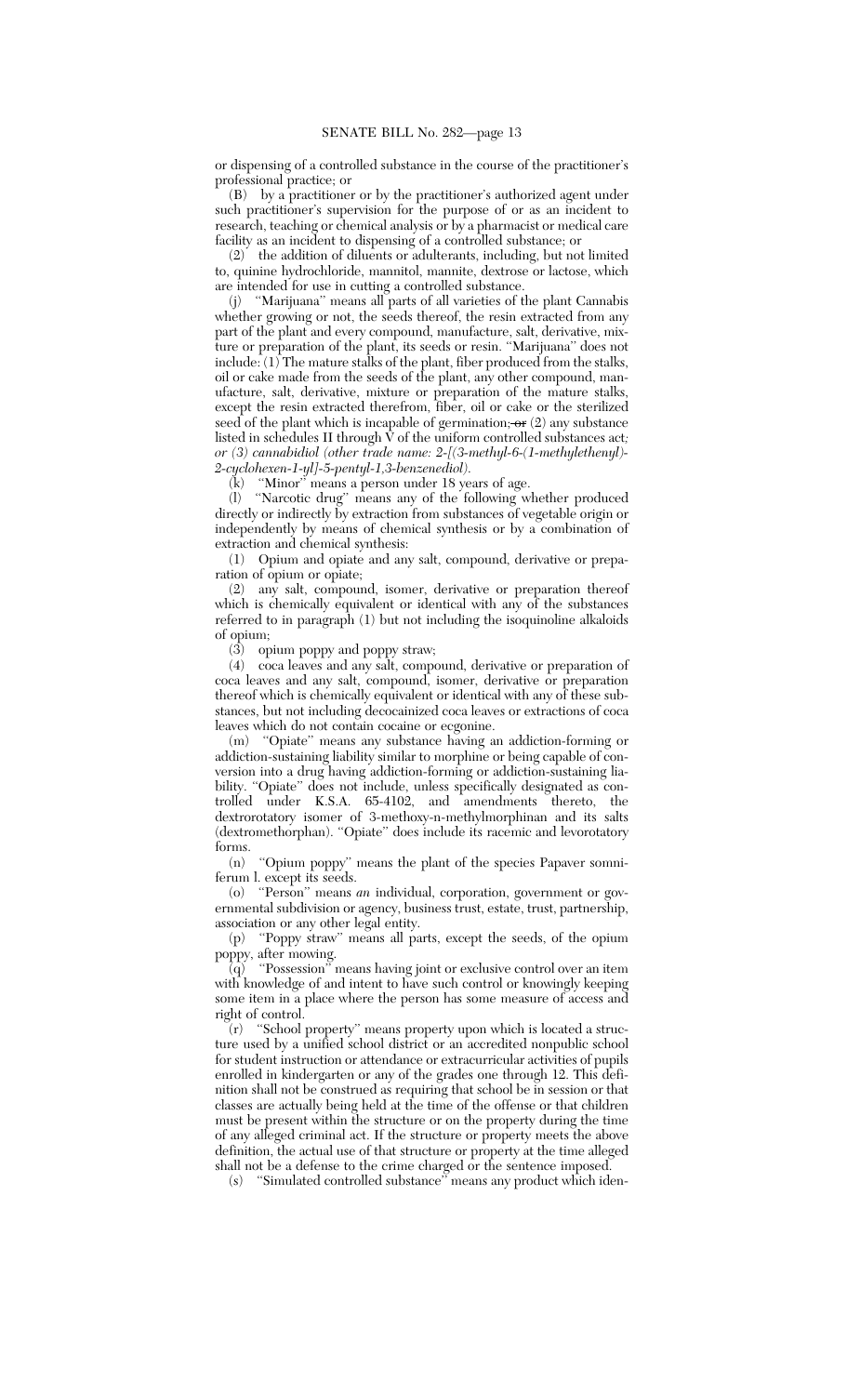or dispensing of a controlled substance in the course of the practitioner's professional practice; or

(B) by a practitioner or by the practitioner's authorized agent under such practitioner's supervision for the purpose of or as an incident to research, teaching or chemical analysis or by a pharmacist or medical care facility as an incident to dispensing of a controlled substance; or

(2) the addition of diluents or adulterants, including, but not limited to, quinine hydrochloride, mannitol, mannite, dextrose or lactose, which are intended for use in cutting a controlled substance.

(j) ''Marijuana'' means all parts of all varieties of the plant Cannabis whether growing or not, the seeds thereof, the resin extracted from any part of the plant and every compound, manufacture, salt, derivative, mixture or preparation of the plant, its seeds or resin. ''Marijuana'' does not include: (1) The mature stalks of the plant, fiber produced from the stalks, oil or cake made from the seeds of the plant, any other compound, manufacture, salt, derivative, mixture or preparation of the mature stalks, except the resin extracted therefrom, fiber, oil or cake or the sterilized seed of the plant which is incapable of germination; <del>or</del> (2) any substance listed in schedules II through V of the uniform controlled substances act*; or (3) cannabidiol (other trade name: 2-[(3-methyl-6-(1-methylethenyl)- 2-cyclohexen-1-yl]-5-pentyl-1,3-benzenediol)*.

(k) ''Minor'' means a person under 18 years of age.

(l) ''Narcotic drug'' means any of the following whether produced directly or indirectly by extraction from substances of vegetable origin or independently by means of chemical synthesis or by a combination of extraction and chemical synthesis:

(1) Opium and opiate and any salt, compound, derivative or preparation of opium or opiate;

(2) any salt, compound, isomer, derivative or preparation thereof which is chemically equivalent or identical with any of the substances referred to in paragraph (1) but not including the isoquinoline alkaloids of opium;

(3) opium poppy and poppy straw;<br>(4) cocal eaves and any salt. compo

(4) coca leaves and any salt, compound, derivative or preparation of coca leaves and any salt, compound, isomer, derivative or preparation thereof which is chemically equivalent or identical with any of these substances, but not including decocainized coca leaves or extractions of coca leaves which do not contain cocaine or ecgonine.

(m) ''Opiate'' means any substance having an addiction-forming or addiction-sustaining liability similar to morphine or being capable of conversion into a drug having addiction-forming or addiction-sustaining liability. "Opiate" does not include, unless specifically designated as controlled under K.S.A. 65-4102, and amendments thereto, the dextrorotatory isomer of 3-methoxy-n-methylmorphinan and its salts (dextromethorphan). ''Opiate'' does include its racemic and levorotatory forms.

(n) ''Opium poppy'' means the plant of the species Papaver somniferum l. except its seeds.

(o) ''Person'' means *an* individual, corporation, government or governmental subdivision or agency, business trust, estate, trust, partnership, association or any other legal entity.

(p) ''Poppy straw'' means all parts, except the seeds, of the opium poppy, after mowing.

(q) ''Possession'' means having joint or exclusive control over an item with knowledge of and intent to have such control or knowingly keeping some item in a place where the person has some measure of access and right of control.

(r) ''School property'' means property upon which is located a structure used by a unified school district or an accredited nonpublic school for student instruction or attendance or extracurricular activities of pupils enrolled in kindergarten or any of the grades one through 12. This definition shall not be construed as requiring that school be in session or that classes are actually being held at the time of the offense or that children must be present within the structure or on the property during the time of any alleged criminal act. If the structure or property meets the above definition, the actual use of that structure or property at the time alleged shall not be a defense to the crime charged or the sentence imposed.

(s) ''Simulated controlled substance'' means any product which iden-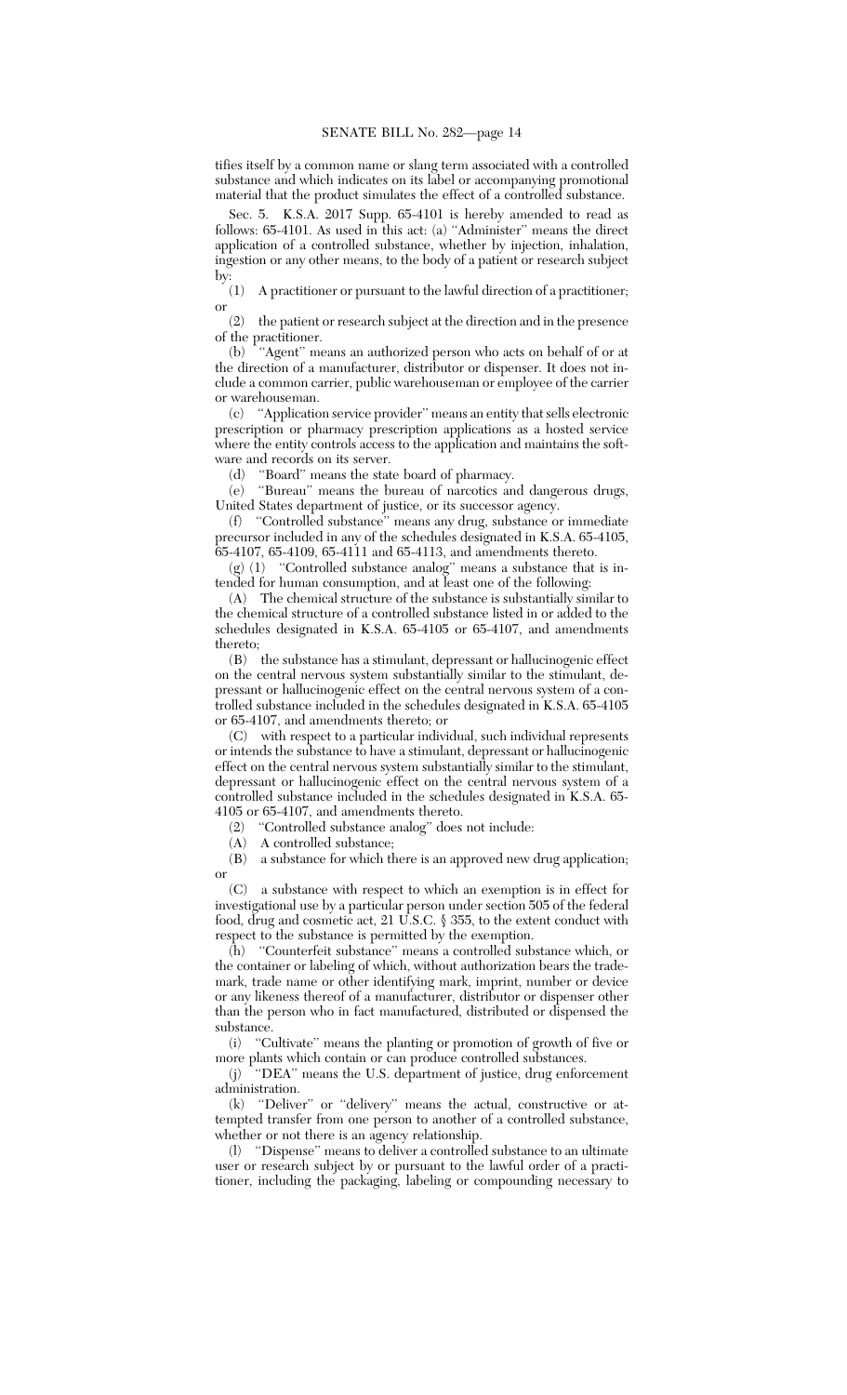tifies itself by a common name or slang term associated with a controlled substance and which indicates on its label or accompanying promotional material that the product simulates the effect of a controlled substance.

Sec. 5. K.S.A. 2017 Supp. 65-4101 is hereby amended to read as follows: 65-4101. As used in this act: (a) ''Administer'' means the direct application of a controlled substance, whether by injection, inhalation, ingestion or any other means, to the body of a patient or research subject by:

(1) A practitioner or pursuant to the lawful direction of a practitioner; or

(2) the patient or research subject at the direction and in the presence of the practitioner.

(b) ''Agent'' means an authorized person who acts on behalf of or at the direction of a manufacturer, distributor or dispenser. It does not include a common carrier, public warehouseman or employee of the carrier or warehouseman.

(c) ''Application service provider'' means an entity that sells electronic prescription or pharmacy prescription applications as a hosted service where the entity controls access to the application and maintains the software and records on its server.

(d) ''Board'' means the state board of pharmacy.

(e) ''Bureau'' means the bureau of narcotics and dangerous drugs, United States department of justice, or its successor agency.

(f) ''Controlled substance'' means any drug, substance or immediate precursor included in any of the schedules designated in K.S.A. 65-4105, 65-4107, 65-4109, 65-4111 and 65-4113, and amendments thereto.

(g) (1) ''Controlled substance analog'' means a substance that is intended for human consumption, and at least one of the following:

(A) The chemical structure of the substance is substantially similar to the chemical structure of a controlled substance listed in or added to the schedules designated in K.S.A. 65-4105 or 65-4107, and amendments thereto;

(B) the substance has a stimulant, depressant or hallucinogenic effect on the central nervous system substantially similar to the stimulant, depressant or hallucinogenic effect on the central nervous system of a controlled substance included in the schedules designated in K.S.A. 65-4105 or 65-4107, and amendments thereto; or

(C) with respect to a particular individual, such individual represents or intends the substance to have a stimulant, depressant or hallucinogenic effect on the central nervous system substantially similar to the stimulant, depressant or hallucinogenic effect on the central nervous system of a controlled substance included in the schedules designated in K.S.A. 65- 4105 or 65-4107, and amendments thereto.<br>
(2) "Controlled substance analog" does

"Controlled substance analog" does not include:

(A) A controlled substance;

(B) a substance for which there is an approved new drug application; or

(C) a substance with respect to which an exemption is in effect for investigational use by a particular person under section 505 of the federal food, drug and cosmetic act, 21 U.S.C.  $\S$  355, to the extent conduct with respect to the substance is permitted by the exemption.

(h) ''Counterfeit substance'' means a controlled substance which, or the container or labeling of which, without authorization bears the trademark, trade name or other identifying mark, imprint, number or device or any likeness thereof of a manufacturer, distributor or dispenser other than the person who in fact manufactured, distributed or dispensed the substance.

(i) ''Cultivate'' means the planting or promotion of growth of five or more plants which contain or can produce controlled substances.

(j) ''DEA'' means the U.S. department of justice, drug enforcement administration.

(k) ''Deliver'' or ''delivery'' means the actual, constructive or attempted transfer from one person to another of a controlled substance, whether or not there is an agency relationship.

(l) ''Dispense'' means to deliver a controlled substance to an ultimate user or research subject by or pursuant to the lawful order of a practitioner, including the packaging, labeling or compounding necessary to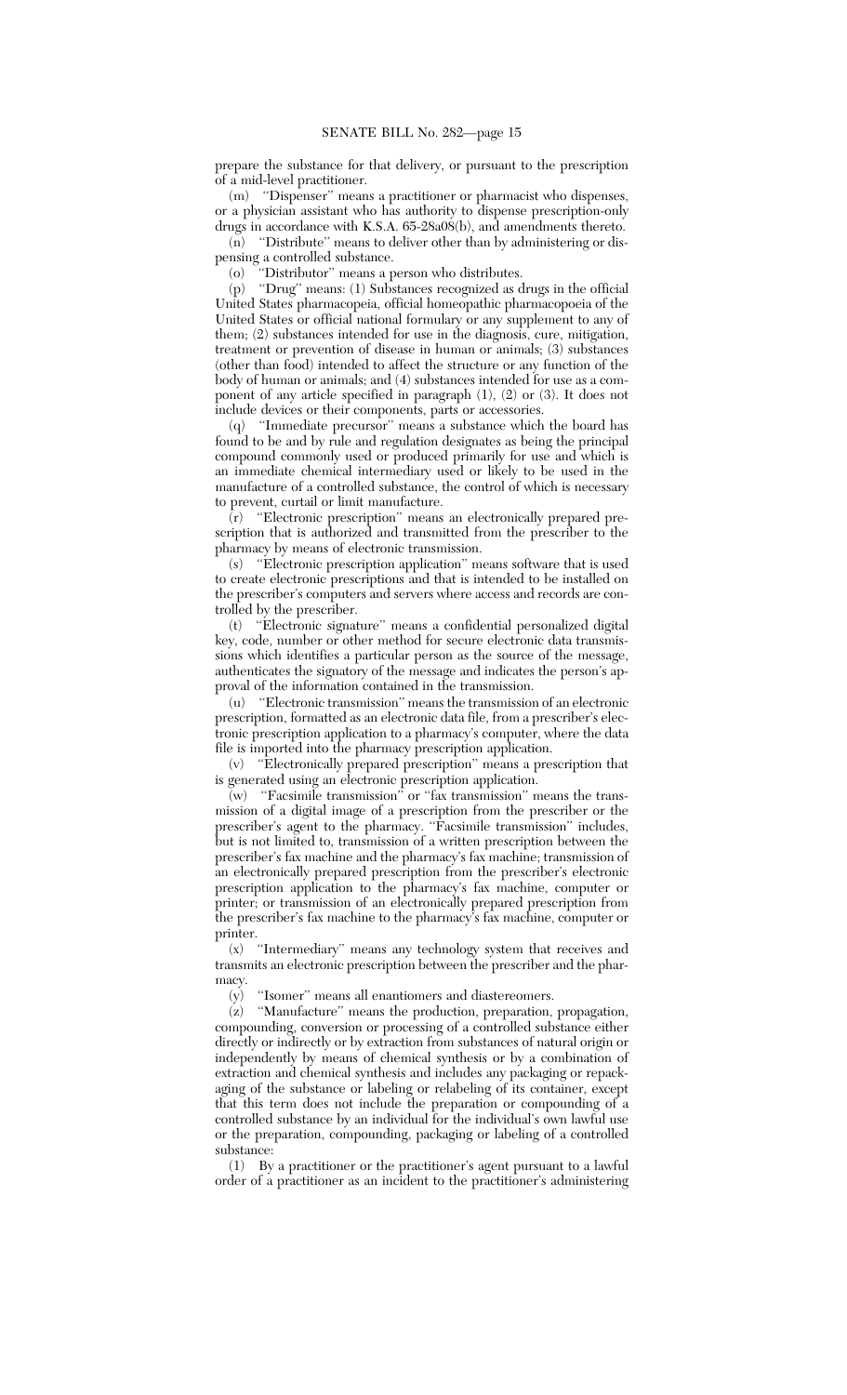prepare the substance for that delivery, or pursuant to the prescription of a mid-level practitioner.

(m) ''Dispenser'' means a practitioner or pharmacist who dispenses, or a physician assistant who has authority to dispense prescription-only drugs in accordance with K.S.A. 65-28a08(b), and amendments thereto.

(n) ''Distribute'' means to deliver other than by administering or dispensing a controlled substance.

(o) ''Distributor'' means a person who distributes.

(p) ''Drug'' means: (1) Substances recognized as drugs in the official United States pharmacopeia, official homeopathic pharmacopoeia of the United States or official national formulary or any supplement to any of them; (2) substances intended for use in the diagnosis, cure, mitigation, treatment or prevention of disease in human or animals; (3) substances (other than food) intended to affect the structure or any function of the body of human or animals; and (4) substances intended for use as a component of any article specified in paragraph (1), (2) or (3). It does not include devices or their components, parts or accessories.

(q) ''Immediate precursor'' means a substance which the board has found to be and by rule and regulation designates as being the principal compound commonly used or produced primarily for use and which is an immediate chemical intermediary used or likely to be used in the manufacture of a controlled substance, the control of which is necessary to prevent, curtail or limit manufacture.

(r) ''Electronic prescription'' means an electronically prepared prescription that is authorized and transmitted from the prescriber to the pharmacy by means of electronic transmission.

(s)  $\,$  "Electronic prescription application" means software that is used to create electronic prescriptions and that is intended to be installed on the prescriber's computers and servers where access and records are controlled by the prescriber.

(t) ''Electronic signature'' means a confidential personalized digital key, code, number or other method for secure electronic data transmissions which identifies a particular person as the source of the message, authenticates the signatory of the message and indicates the person's approval of the information contained in the transmission.

(u) ''Electronic transmission'' means the transmission of an electronic prescription, formatted as an electronic data file, from a prescriber's electronic prescription application to a pharmacy's computer, where the data file is imported into the pharmacy prescription application.

(v) ''Electronically prepared prescription'' means a prescription that is generated using an electronic prescription application.

 $\overline{w}$  "Facsimile transmission" or "fax transmission" means the transmission of a digital image of a prescription from the prescriber or the prescriber's agent to the pharmacy. ''Facsimile transmission'' includes, but is not limited to, transmission of a written prescription between the prescriber's fax machine and the pharmacy's fax machine; transmission of an electronically prepared prescription from the prescriber's electronic prescription application to the pharmacy's fax machine, computer or printer; or transmission of an electronically prepared prescription from the prescriber's fax machine to the pharmacy's fax machine, computer or printer.

(x) ''Intermediary'' means any technology system that receives and transmits an electronic prescription between the prescriber and the pharmacy.

(y) ''Isomer'' means all enantiomers and diastereomers.

(z) ''Manufacture'' means the production, preparation, propagation, compounding, conversion or processing of a controlled substance either directly or indirectly or by extraction from substances of natural origin or independently by means of chemical synthesis or by a combination of extraction and chemical synthesis and includes any packaging or repackaging of the substance or labeling or relabeling of its container, except that this term does not include the preparation or compounding of a controlled substance by an individual for the individual's own lawful use or the preparation, compounding, packaging or labeling of a controlled substance:

(1) By a practitioner or the practitioner's agent pursuant to a lawful order of a practitioner as an incident to the practitioner's administering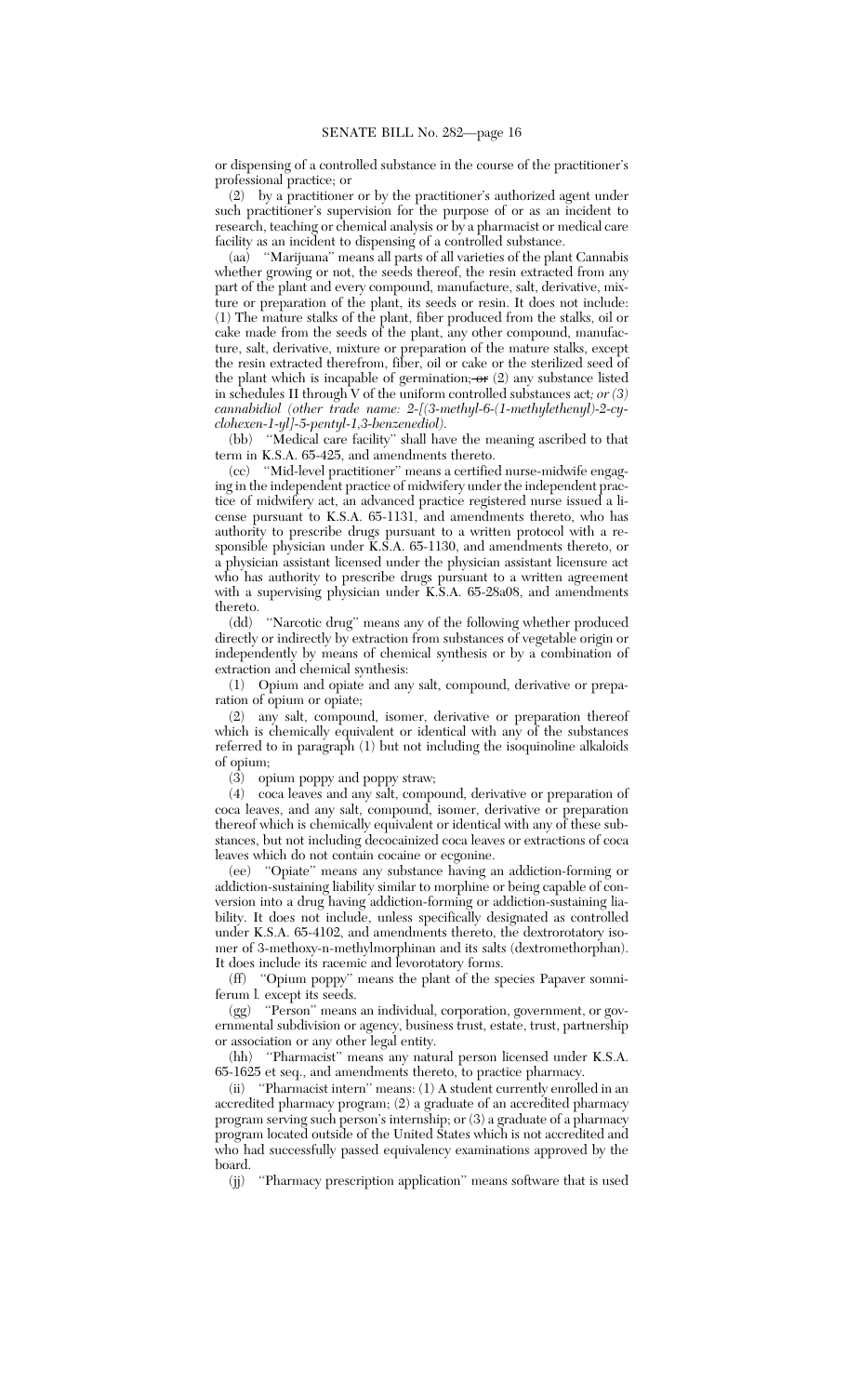or dispensing of a controlled substance in the course of the practitioner's professional practice; or

(2) by a practitioner or by the practitioner's authorized agent under such practitioner's supervision for the purpose of or as an incident to research, teaching or chemical analysis or by a pharmacist or medical care facility as an incident to dispensing of a controlled substance.

(aa) ''Marijuana'' means all parts of all varieties of the plant Cannabis whether growing or not, the seeds thereof, the resin extracted from any part of the plant and every compound, manufacture, salt, derivative, mixture or preparation of the plant, its seeds or resin. It does not include: (1) The mature stalks of the plant, fiber produced from the stalks, oil or cake made from the seeds of the plant, any other compound, manufacture, salt, derivative, mixture or preparation of the mature stalks, except the resin extracted therefrom, fiber, oil or cake or the sterilized seed of the plant which is incapable of germination;  $\textbf{or}$   $(2)$  any substance listed in schedules II through V of the uniform controlled substances act*; or (3) cannabidiol (other trade name: 2-[(3-methyl-6-(1-methylethenyl)-2-cyclohexen-1-yl]-5-pentyl-1,3-benzenediol)*.

(bb) "Medical care facility" shall have the meaning ascribed to that term in K.S.A. 65-425, and amendments thereto.

(cc) ''Mid-level practitioner'' means a certified nurse-midwife engaging in the independent practice of midwifery under the independent practice of midwifery act, an advanced practice registered nurse issued a license pursuant to K.S.A. 65-1131, and amendments thereto, who has authority to prescribe drugs pursuant to a written protocol with a responsible physician under K.S.A. 65-1130, and amendments thereto, or a physician assistant licensed under the physician assistant licensure act who has authority to prescribe drugs pursuant to a written agreement with a supervising physician under K.S.A. 65-28a08, and amendments thereto.

(dd) ''Narcotic drug'' means any of the following whether produced directly or indirectly by extraction from substances of vegetable origin or independently by means of chemical synthesis or by a combination of extraction and chemical synthesis:

(1) Opium and opiate and any salt, compound, derivative or preparation of opium or opiate;

(2) any salt, compound, isomer, derivative or preparation thereof which is chemically equivalent or identical with any of the substances referred to in paragraph (1) but not including the isoquinoline alkaloids of opium;

(3) opium poppy and poppy straw;

(4) coca leaves and any salt, compound, derivative or preparation of coca leaves, and any salt, compound, isomer, derivative or preparation thereof which is chemically equivalent or identical with any of these substances, but not including decocainized coca leaves or extractions of coca leaves which do not contain cocaine or ecgonine.

(ee) ''Opiate'' means any substance having an addiction-forming or addiction-sustaining liability similar to morphine or being capable of conversion into a drug having addiction-forming or addiction-sustaining liability. It does not include, unless specifically designated as controlled under K.S.A. 65-4102, and amendments thereto, the dextrorotatory isomer of 3-methoxy-n-methylmorphinan and its salts (dextromethorphan). It does include its racemic and levorotatory forms.

(ff) ''Opium poppy'' means the plant of the species Papaver somniferum l*.* except its seeds.

(gg) ''Person'' means an individual, corporation, government, or governmental subdivision or agency, business trust, estate, trust, partnership or association or any other legal entity.

(hh) ''Pharmacist'' means any natural person licensed under K.S.A. 65-1625 et seq., and amendments thereto, to practice pharmacy.<br>
(ii) "Pharmacist intern" means: (1) A student currently enroll

"Pharmacist intern" means: (1) A student currently enrolled in an accredited pharmacy program; (2) a graduate of an accredited pharmacy program serving such person's internship; or (3) a graduate of a pharmacy program located outside of the United States which is not accredited and who had successfully passed equivalency examinations approved by the board.

(jj) ''Pharmacy prescription application'' means software that is used